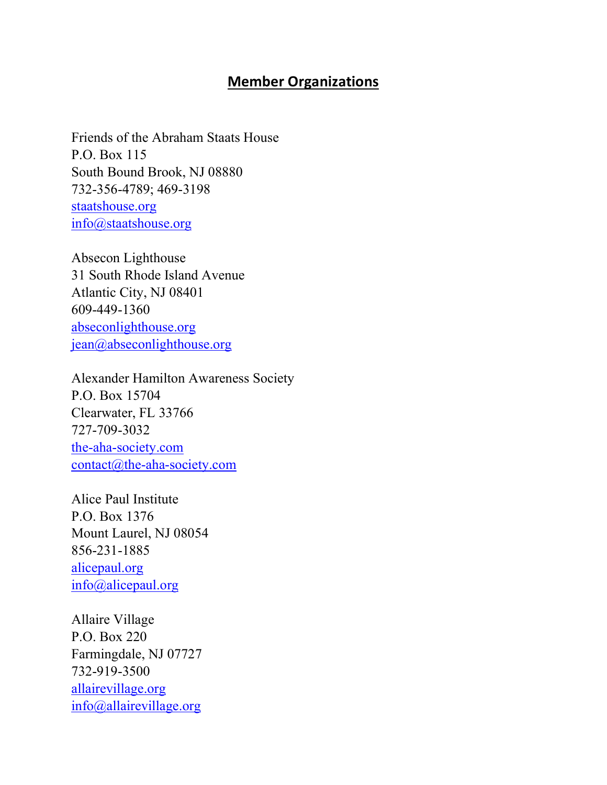## Member Organizations

Friends of the Abraham Staats House P.O. Box 115 South Bound Brook, NJ 08880 732-356-4789; 469-3198 staatshouse.org info@staatshouse.org

Absecon Lighthouse 31 South Rhode Island Avenue Atlantic City, NJ 08401 609-449-1360 abseconlighthouse.org jean@abseconlighthouse.org

Alexander Hamilton Awareness Society P.O. Box 15704 Clearwater, FL 33766 727-709-3032 the-aha-society.com contact@the-aha-society.com

Alice Paul Institute P.O. Box 1376 Mount Laurel, NJ 08054 856-231-1885 alicepaul.org info@alicepaul.org

Allaire Village P.O. Box 220 Farmingdale, NJ 07727 732-919-3500 allairevillage.org info@allairevillage.org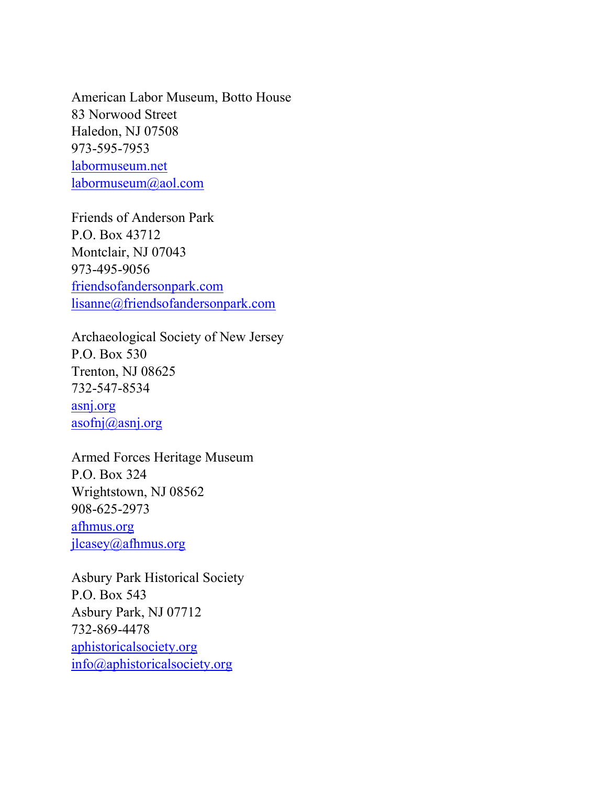American Labor Museum, Botto House 83 Norwood Street Haledon, NJ 07508 973-595-7953 labormuseum.net labormuseum@aol.com

Friends of Anderson Park P.O. Box 43712 Montclair, NJ 07043 973-495-9056 friendsofandersonpark.com lisanne@friendsofandersonpark.com

Archaeological Society of New Jersey P.O. Box 530 Trenton, NJ 08625 732-547-8534 asnj.org asofnj@asnj.org

Armed Forces Heritage Museum P.O. Box 324 Wrightstown, NJ 08562 908-625-2973 afhmus.org jlcasey@afhmus.org

Asbury Park Historical Society P.O. Box 543 Asbury Park, NJ 07712 732-869-4478 aphistoricalsociety.org info@aphistoricalsociety.org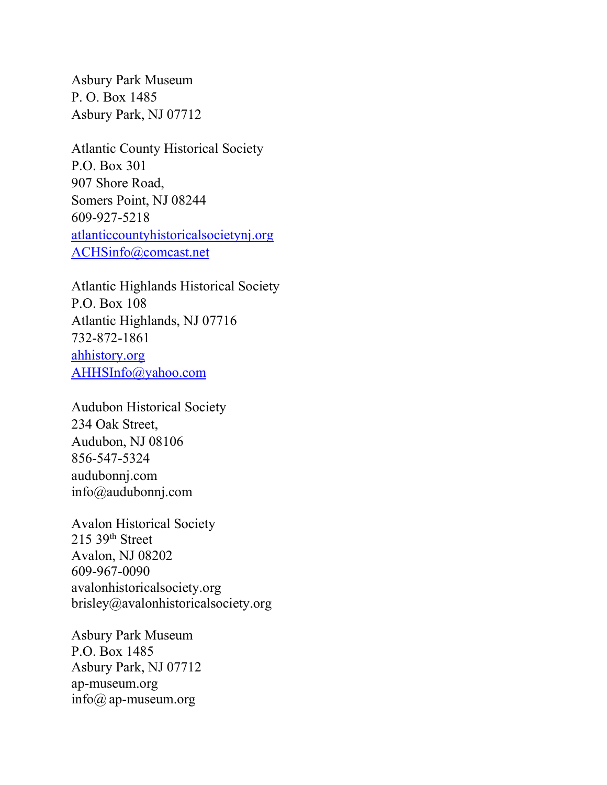Asbury Park Museum P. O. Box 1485 Asbury Park, NJ 07712

Atlantic County Historical Society P.O. Box 301 907 Shore Road, Somers Point, NJ 08244 609-927-5218 atlanticcountyhistoricalsocietynj.org ACHSinfo@comcast.net

Atlantic Highlands Historical Society P.O. Box 108 Atlantic Highlands, NJ 07716 732-872-1861 ahhistory.org AHHSInfo@yahoo.com

Audubon Historical Society 234 Oak Street, Audubon, NJ 08106 856-547-5324 audubonnj.com info@audubonnj.com

Avalon Historical Society 215 39th Street Avalon, NJ 08202 609-967-0090 avalonhistoricalsociety.org brisley@avalonhistoricalsociety.org

Asbury Park Museum P.O. Box 1485 Asbury Park, NJ 07712 ap-museum.org info@ ap-museum.org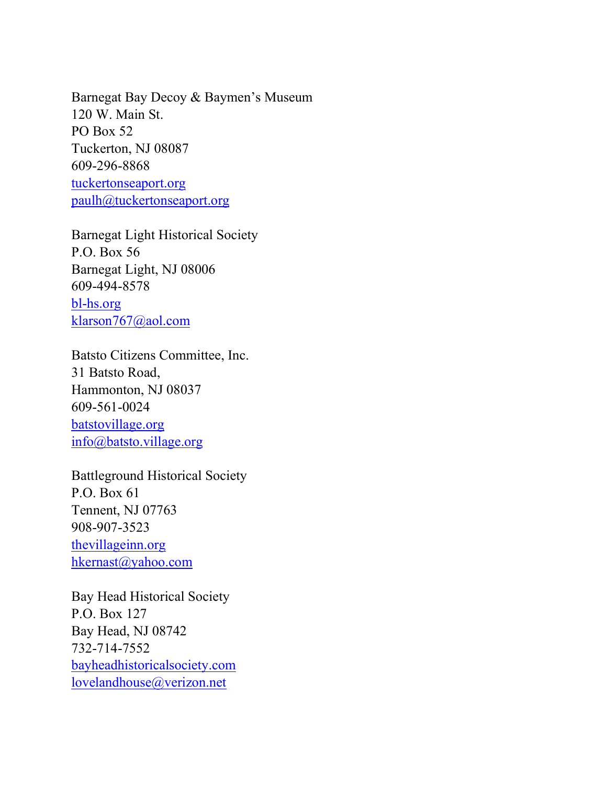Barnegat Bay Decoy & Baymen's Museum 120 W. Main St. PO Box 52 Tuckerton, NJ 08087 609-296-8868 tuckertonseaport.org paulh@tuckertonseaport.org

Barnegat Light Historical Society P.O. Box 56 Barnegat Light, NJ 08006 609-494-8578 bl-hs.org klarson767@aol.com

Batsto Citizens Committee, Inc. 31 Batsto Road, Hammonton, NJ 08037 609-561-0024 batstovillage.org info@batsto.village.org

Battleground Historical Society P.O. Box 61 Tennent, NJ 07763 908-907-3523 thevillageinn.org hkernast@yahoo.com

Bay Head Historical Society P.O. Box 127 Bay Head, NJ 08742 732-714-7552 bayheadhistoricalsociety.com lovelandhouse@verizon.net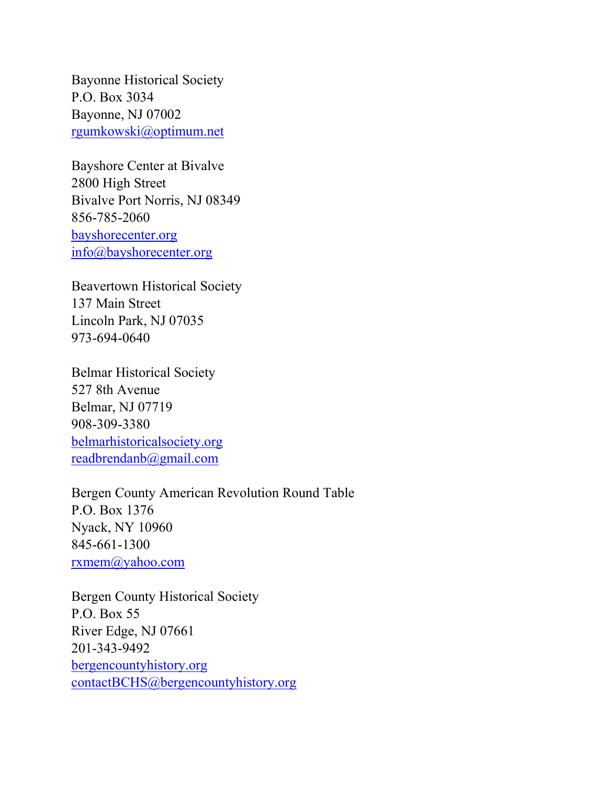Bayonne Historical Society P.O. Box 3034 Bayonne, NJ 07002 rgumkowski@optimum.net

Bayshore Center at Bivalve 2800 High Street Bivalve Port Norris, NJ 08349 856-785-2060 bayshorecenter.org info@bayshorecenter.org

Beavertown Historical Society 137 Main Street Lincoln Park, NJ 07035 973-694-0640

Belmar Historical Society 527 8th Avenue Belmar, NJ 07719 908-309-3380 belmarhistoricalsociety.org readbrendanb@gmail.com

Bergen County American Revolution Round Table P.O. Box 1376 Nyack, NY 10960 845-661-1300 rxmem@yahoo.com

Bergen County Historical Society P.O. Box 55 River Edge, NJ 07661 201-343-9492 bergencountyhistory.org contactBCHS@bergencountyhistory.org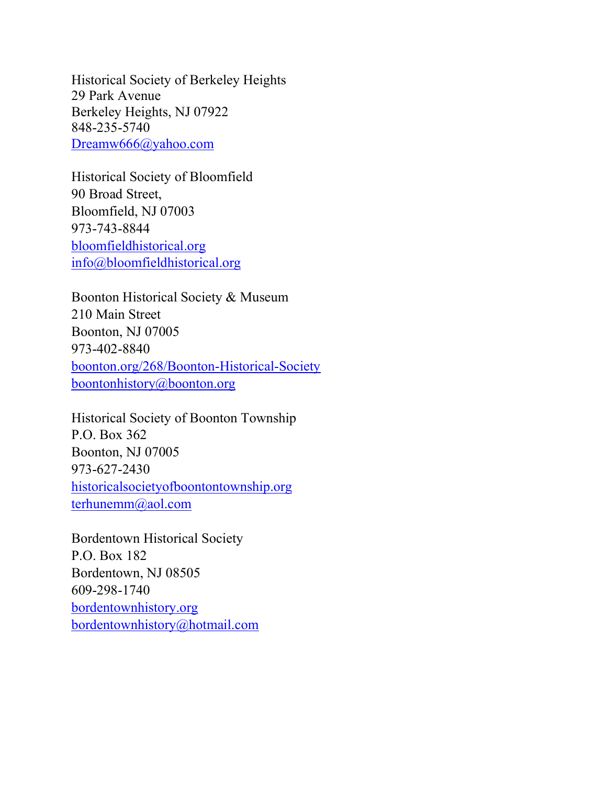Historical Society of Berkeley Heights 29 Park Avenue Berkeley Heights, NJ 07922 848-235-5740 Dreamw666@yahoo.com

Historical Society of Bloomfield 90 Broad Street, Bloomfield, NJ 07003 973-743-8844 bloomfieldhistorical.org info@bloomfieldhistorical.org

Boonton Historical Society & Museum 210 Main Street Boonton, NJ 07005 973-402-8840 boonton.org/268/Boonton-Historical-Society boontonhistory@boonton.org

Historical Society of Boonton Township P.O. Box 362 Boonton, NJ 07005 973-627-2430 historicalsocietyofboontontownship.org terhunemm@aol.com

Bordentown Historical Society P.O. Box 182 Bordentown, NJ 08505 609-298-1740 bordentownhistory.org bordentownhistory@hotmail.com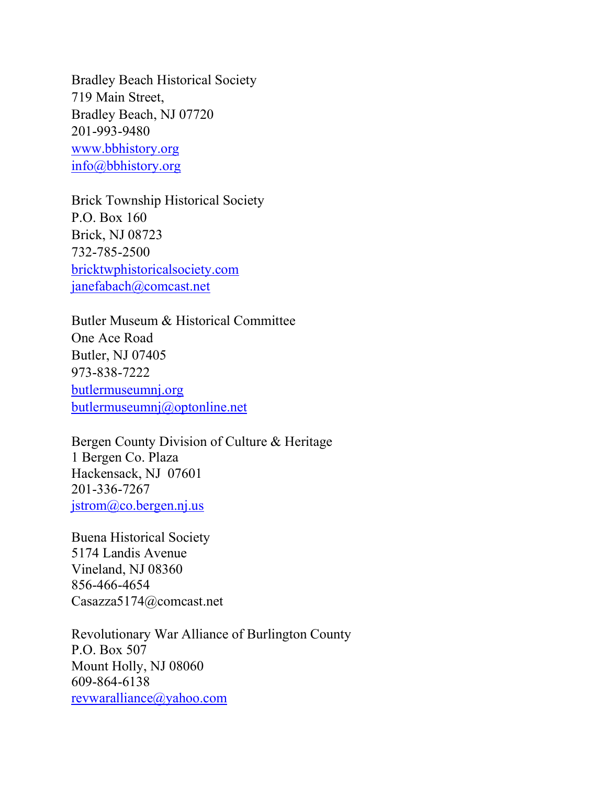Bradley Beach Historical Society 719 Main Street, Bradley Beach, NJ 07720 201-993-9480 www.bbhistory.org info@bbhistory.org

Brick Township Historical Society P.O. Box 160 Brick, NJ 08723 732-785-2500 bricktwphistoricalsociety.com janefabach@comcast.net

Butler Museum & Historical Committee One Ace Road Butler, NJ 07405 973-838-7222 butlermuseumnj.org butlermuseumnj@optonline.net

Bergen County Division of Culture & Heritage 1 Bergen Co. Plaza Hackensack, NJ 07601 201-336-7267 jstrom@co.bergen.nj.us

Buena Historical Society 5174 Landis Avenue Vineland, NJ 08360 856-466-4654 Casazza5174@comcast.net

Revolutionary War Alliance of Burlington County P.O. Box 507 Mount Holly, NJ 08060 609-864-6138 revwaralliance@yahoo.com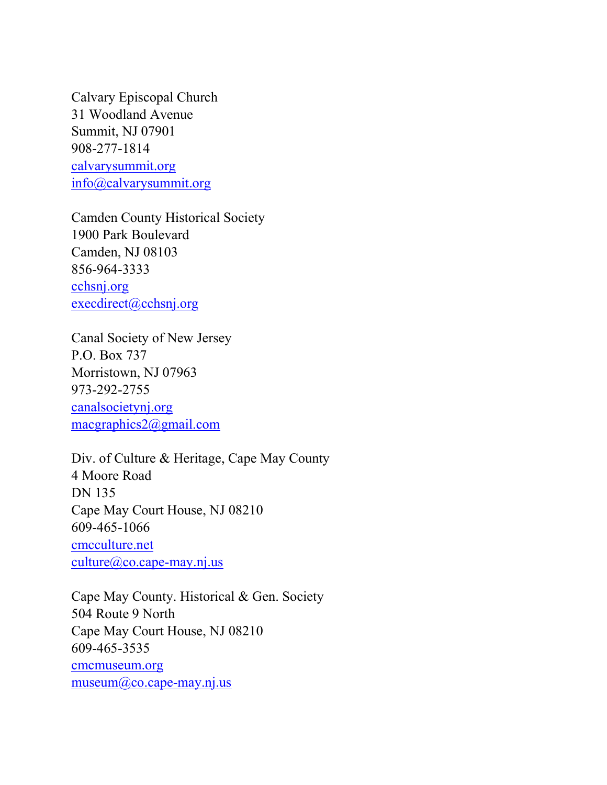Calvary Episcopal Church 31 Woodland Avenue Summit, NJ 07901 908-277-1814 calvarysummit.org info@calvarysummit.org

Camden County Historical Society 1900 Park Boulevard Camden, NJ 08103 856-964-3333 cchsnj.org execdirect@cchsnj.org

Canal Society of New Jersey P.O. Box 737 Morristown, NJ 07963 973-292-2755 canalsocietynj.org macgraphics2@gmail.com

Div. of Culture & Heritage, Cape May County 4 Moore Road DN 135 Cape May Court House, NJ 08210 609-465-1066 cmcculture.net culture@co.cape-may.nj.us

Cape May County. Historical & Gen. Society 504 Route 9 North Cape May Court House, NJ 08210 609-465-3535 cmcmuseum.org museum@co.cape-may.nj.us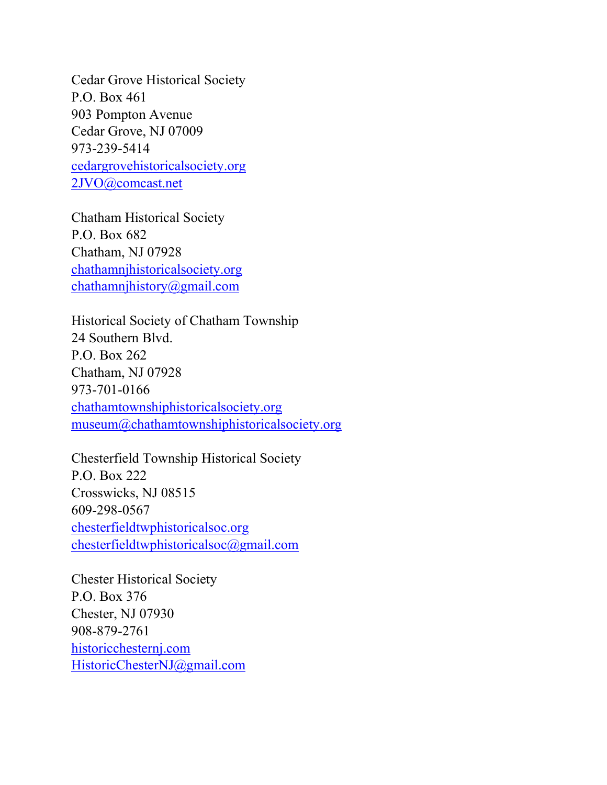Cedar Grove Historical Society P.O. Box 461 903 Pompton Avenue Cedar Grove, NJ 07009 973-239-5414 cedargrovehistoricalsociety.org 2JVO@comcast.net

Chatham Historical Society P.O. Box 682 Chatham, NJ 07928 chathamnjhistoricalsociety.org chathamnjhistory@gmail.com

Historical Society of Chatham Township 24 Southern Blvd. P.O. Box 262 Chatham, NJ 07928 973-701-0166 chathamtownshiphistoricalsociety.org museum@chathamtownshiphistoricalsociety.org

Chesterfield Township Historical Society P.O. Box 222 Crosswicks, NJ 08515 609-298-0567 chesterfieldtwphistoricalsoc.org chesterfieldtwphistoricalsoc@gmail.com

Chester Historical Society P.O. Box 376 Chester, NJ 07930 908-879-2761 historicchesternj.com HistoricChesterNJ@gmail.com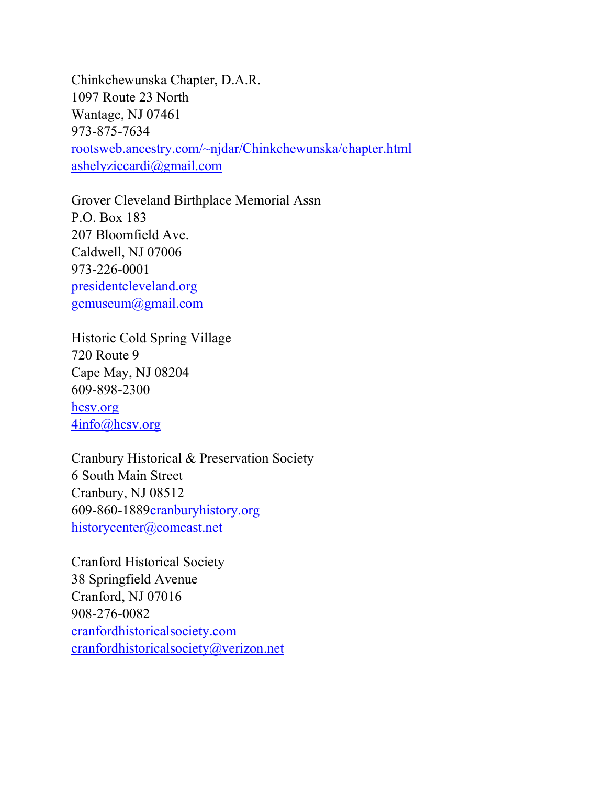Chinkchewunska Chapter, D.A.R. 1097 Route 23 North Wantage, NJ 07461 973-875-7634 rootsweb.ancestry.com/~njdar/Chinkchewunska/chapter.html ashelyziccardi@gmail.com

Grover Cleveland Birthplace Memorial Assn P.O. Box 183 207 Bloomfield Ave. Caldwell, NJ 07006 973-226-0001 presidentcleveland.org gcmuseum@gmail.com

Historic Cold Spring Village 720 Route 9 Cape May, NJ 08204 609-898-2300

hcsv.org 4info@hcsv.org

Cranbury Historical & Preservation Society 6 South Main Street Cranbury, NJ 08512 609-860-1889cranburyhistory.org historycenter@comcast.net

Cranford Historical Society 38 Springfield Avenue Cranford, NJ 07016 908-276-0082 cranfordhistoricalsociety.com cranfordhistoricalsociety@verizon.net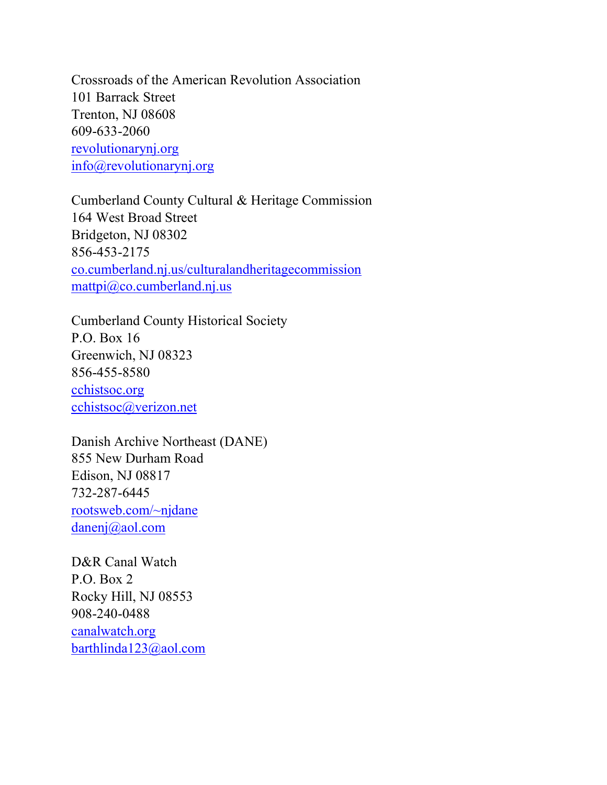Crossroads of the American Revolution Association 101 Barrack Street Trenton, NJ 08608 609-633-2060 revolutionarynj.org info@revolutionarynj.org

Cumberland County Cultural & Heritage Commission 164 West Broad Street Bridgeton, NJ 08302 856-453-2175 co.cumberland.nj.us/culturalandheritagecommission mattpi@co.cumberland.nj.us

Cumberland County Historical Society P.O. Box 16 Greenwich, NJ 08323 856-455-8580 cchistsoc.org cchistsoc@verizon.net

Danish Archive Northeast (DANE) 855 New Durham Road Edison, NJ 08817 732-287-6445 rootsweb.com/~njdane danenj@aol.com

D&R Canal Watch P.O. Box 2 Rocky Hill, NJ 08553 908-240-0488 canalwatch.org barthlinda123@aol.com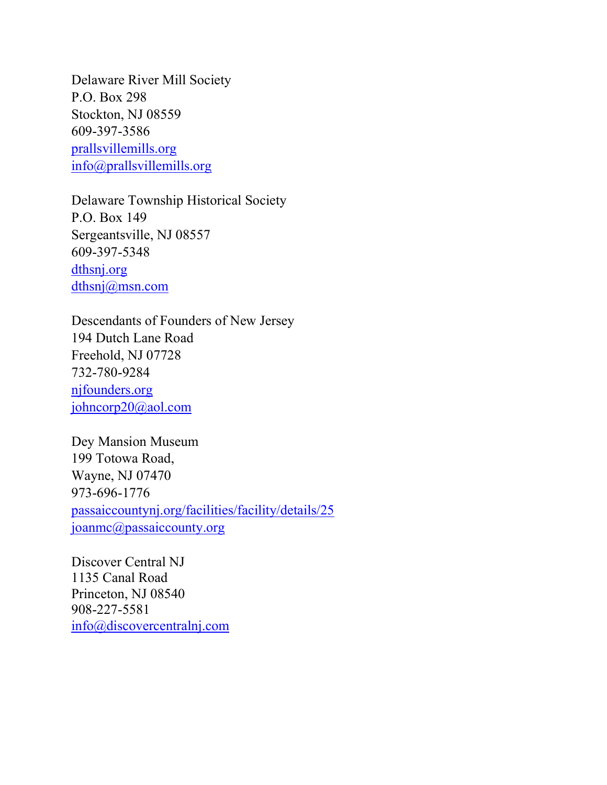Delaware River Mill Society P.O. Box 298 Stockton, NJ 08559 609-397-3586 prallsvillemills.org info@prallsvillemills.org

Delaware Township Historical Society P.O. Box 149 Sergeantsville, NJ 08557 609-397-5348 dthsnj.org dthsnj@msn.com

Descendants of Founders of New Jersey 194 Dutch Lane Road Freehold, NJ 07728 732-780-9284 njfounders.org johncorp20@aol.com

Dey Mansion Museum 199 Totowa Road, Wayne, NJ 07470 973-696-1776 passaiccountynj.org/facilities/facility/details/25 joanmc@passaiccounty.org

Discover Central NJ 1135 Canal Road Princeton, NJ 08540 908-227-5581 info@discovercentralnj.com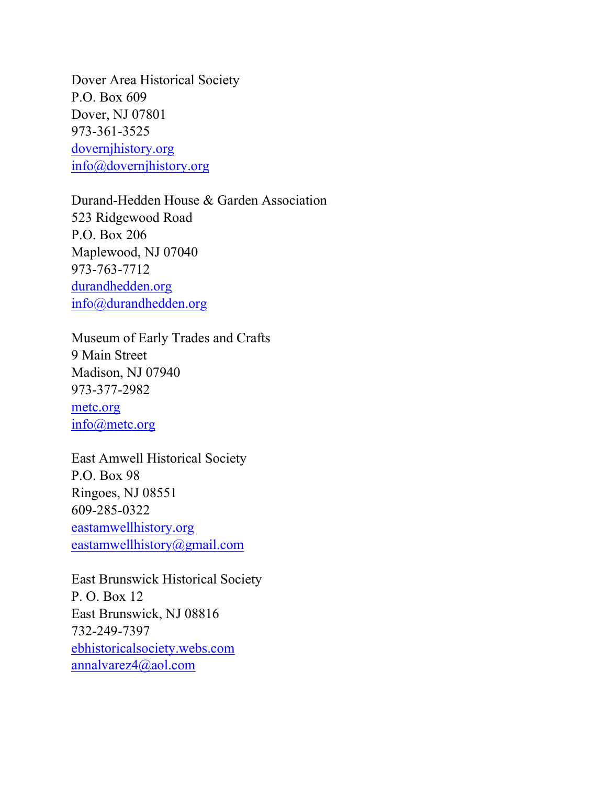Dover Area Historical Society P.O. Box 609 Dover, NJ 07801 973-361-3525 dovernjhistory.org info@dovernjhistory.org

Durand-Hedden House & Garden Association 523 Ridgewood Road P.O. Box 206 Maplewood, NJ 07040 973-763-7712 durandhedden.org info@durandhedden.org

Museum of Early Trades and Crafts 9 Main Street Madison, NJ 07940 973-377-2982

metc.org info@metc.org

East Amwell Historical Society P.O. Box 98 Ringoes, NJ 08551 609-285-0322 eastamwellhistory.org eastamwellhistory@gmail.com

East Brunswick Historical Society P. O. Box 12 East Brunswick, NJ 08816 732-249-7397 ebhistoricalsociety.webs.com annalvarez4@aol.com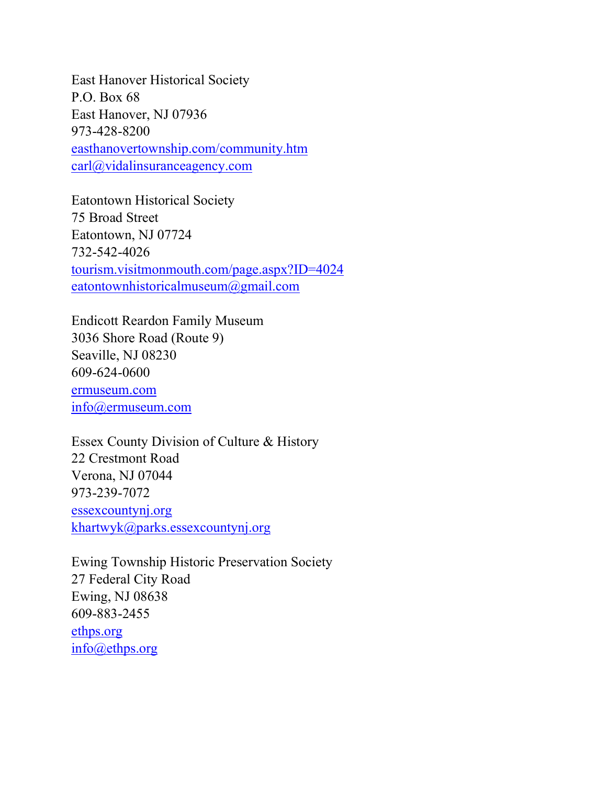East Hanover Historical Society P.O. Box 68 East Hanover, NJ 07936 973-428-8200 easthanovertownship.com/community.htm carl@vidalinsuranceagency.com

Eatontown Historical Society 75 Broad Street Eatontown, NJ 07724 732-542-4026 tourism.visitmonmouth.com/page.aspx?ID=4024 eatontownhistoricalmuseum@gmail.com

Endicott Reardon Family Museum 3036 Shore Road (Route 9) Seaville, NJ 08230 609-624-0600 ermuseum.com info@ermuseum.com

Essex County Division of Culture & History 22 Crestmont Road Verona, NJ 07044 973-239-7072 essexcountynj.org khartwyk@parks.essexcountynj.org

Ewing Township Historic Preservation Society 27 Federal City Road Ewing, NJ 08638 609-883-2455 ethps.org info@ethps.org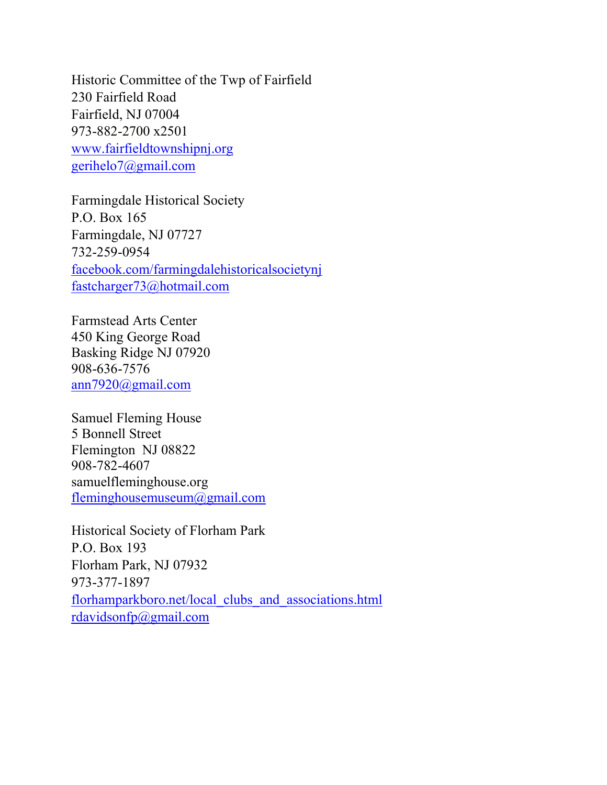Historic Committee of the Twp of Fairfield 230 Fairfield Road Fairfield, NJ 07004 973-882-2700 x2501 www.fairfieldtownshipnj.org gerihelo7@gmail.com

Farmingdale Historical Society P.O. Box 165 Farmingdale, NJ 07727 732-259-0954 facebook.com/farmingdalehistoricalsocietynj fastcharger73@hotmail.com

Farmstead Arts Center 450 King George Road Basking Ridge NJ 07920 908-636-7576 ann7920@gmail.com

Samuel Fleming House 5 Bonnell Street Flemington NJ 08822 908-782-4607 samuelfleminghouse.org fleminghousemuseum@gmail.com

Historical Society of Florham Park P.O. Box 193 Florham Park, NJ 07932 973-377-1897 florhamparkboro.net/local\_clubs\_and\_associations.html rdavidsonfp@gmail.com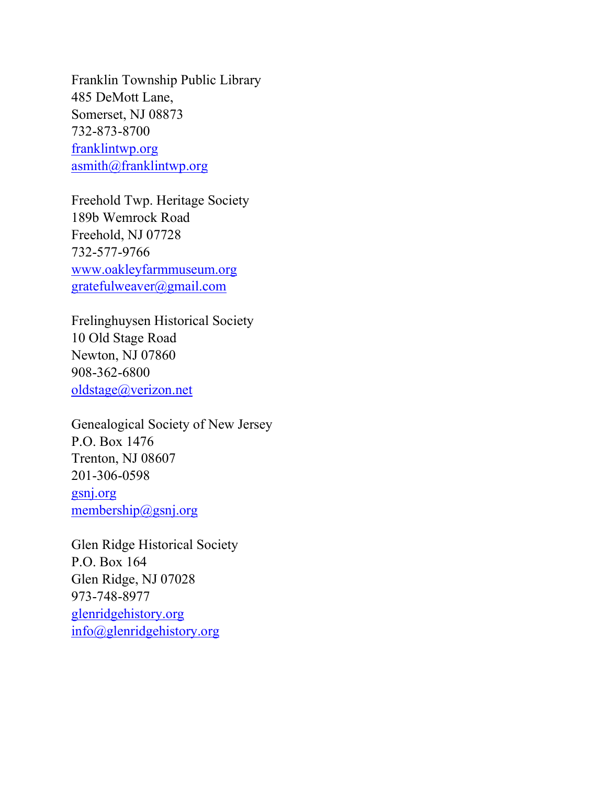Franklin Township Public Library 485 DeMott Lane, Somerset, NJ 08873 732-873-8700 franklintwp.org asmith@franklintwp.org

Freehold Twp. Heritage Society 189b Wemrock Road Freehold, NJ 07728 732-577-9766 www.oakleyfarmmuseum.org gratefulweaver@gmail.com

Frelinghuysen Historical Society 10 Old Stage Road Newton, NJ 07860 908-362-6800 oldstage@verizon.net

Genealogical Society of New Jersey P.O. Box 1476 Trenton, NJ 08607 201-306-0598 gsnj.org membership@gsnj.org

Glen Ridge Historical Society P.O. Box 164 Glen Ridge, NJ 07028 973-748-8977 glenridgehistory.org info@glenridgehistory.org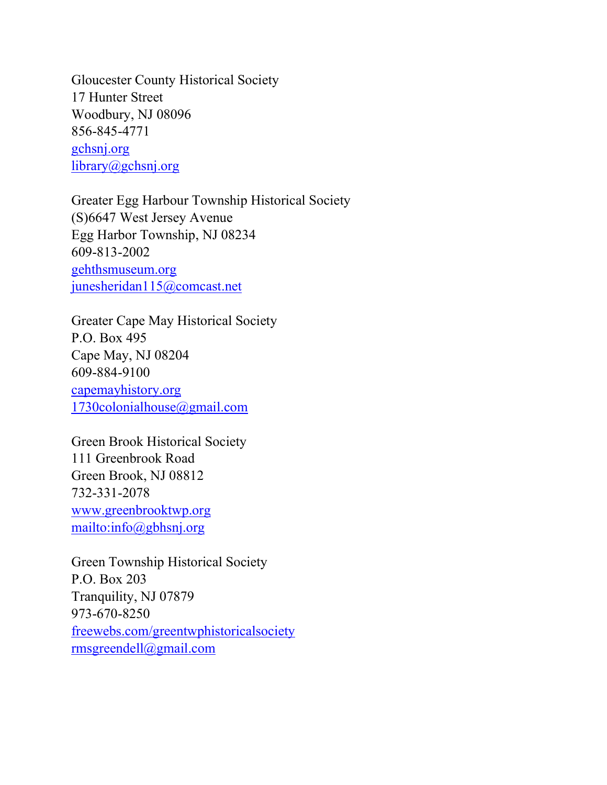Gloucester County Historical Society 17 Hunter Street Woodbury, NJ 08096 856-845-4771 gchsnj.org library@gchsnj.org

Greater Egg Harbour Township Historical Society (S)6647 West Jersey Avenue Egg Harbor Township, NJ 08234 609-813-2002 gehthsmuseum.org junesheridan115@comcast.net

Greater Cape May Historical Society P.O. Box 495 Cape May, NJ 08204 609-884-9100 capemayhistory.org 1730colonialhouse@gmail.com

Green Brook Historical Society 111 Greenbrook Road Green Brook, NJ 08812 732-331-2078 www.greenbrooktwp.org mailto:info@gbhsnj.org

Green Township Historical Society P.O. Box 203 Tranquility, NJ 07879 973-670-8250 freewebs.com/greentwphistoricalsociety rmsgreendell@gmail.com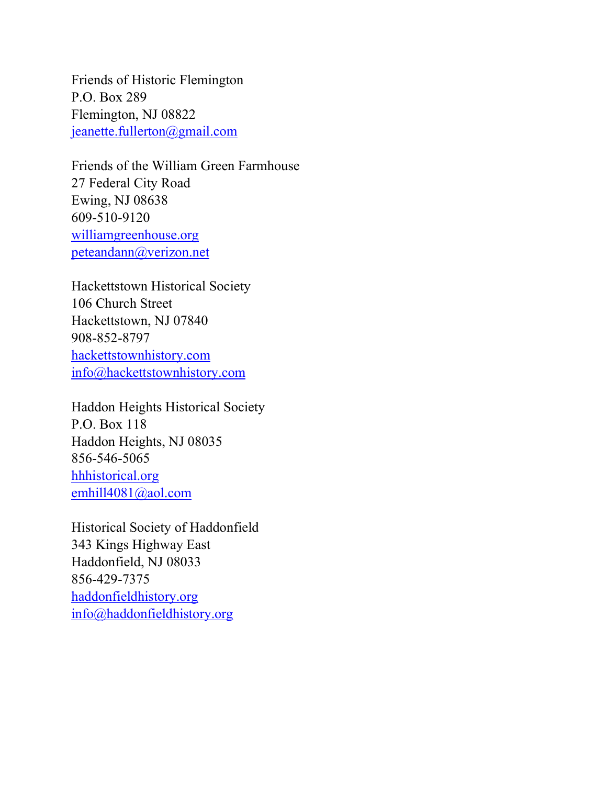Friends of Historic Flemington P.O. Box 289 Flemington, NJ 08822 jeanette.fullerton@gmail.com

Friends of the William Green Farmhouse 27 Federal City Road Ewing, NJ 08638 609-510-9120 williamgreenhouse.org peteandann@verizon.net

Hackettstown Historical Society 106 Church Street Hackettstown, NJ 07840 908-852-8797 hackettstownhistory.com info@hackettstownhistory.com

Haddon Heights Historical Society P.O. Box 118 Haddon Heights, NJ 08035 856-546-5065 hhhistorical.org emhill4081@aol.com

Historical Society of Haddonfield 343 Kings Highway East Haddonfield, NJ 08033 856-429-7375 haddonfieldhistory.org info@haddonfieldhistory.org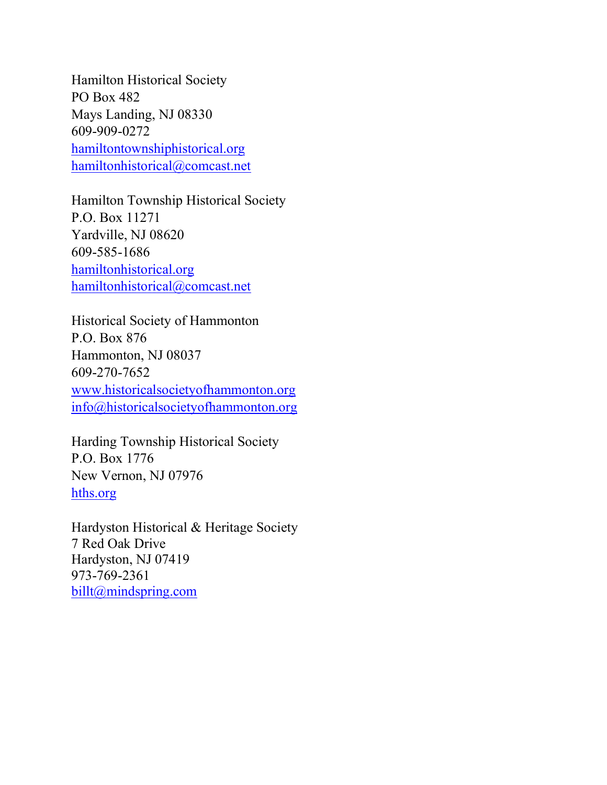Hamilton Historical Society PO Box 482 Mays Landing, NJ 08330 609-909-0272 hamiltontownshiphistorical.org hamiltonhistorical@comcast.net

Hamilton Township Historical Society P.O. Box 11271 Yardville, NJ 08620 609-585-1686 hamiltonhistorical.org hamiltonhistorical@comcast.net

Historical Society of Hammonton P.O. Box 876 Hammonton, NJ 08037 609-270-7652 www.historicalsocietyofhammonton.org info@historicalsocietyofhammonton.org

Harding Township Historical Society P.O. Box 1776 New Vernon, NJ 07976 hths.org

Hardyston Historical & Heritage Society 7 Red Oak Drive Hardyston, NJ 07419 973-769-2361 billt@mindspring.com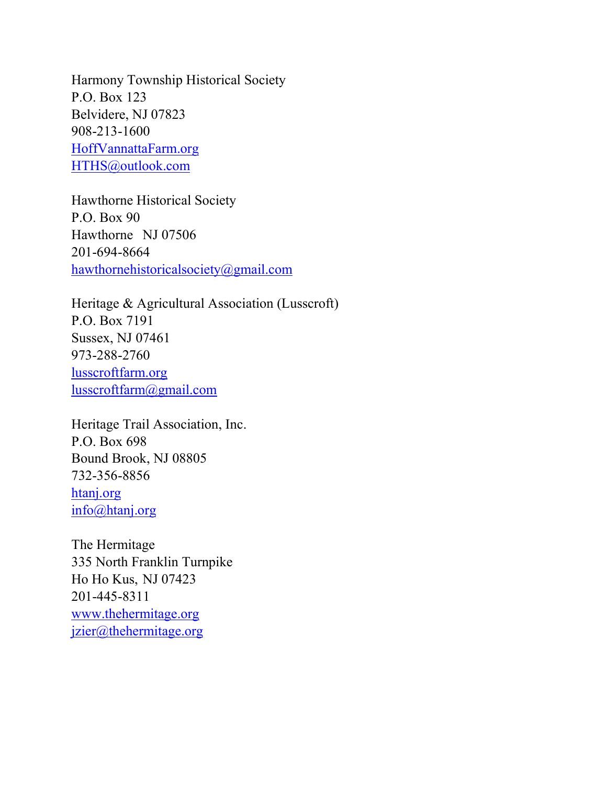Harmony Township Historical Society P.O. Box 123 Belvidere, NJ 07823 908-213-1600 HoffVannattaFarm.org HTHS@outlook.com

Hawthorne Historical Society P.O. Box 90 Hawthorne NJ 07506 201-694-8664 hawthornehistoricalsociety@gmail.com

Heritage & Agricultural Association (Lusscroft) P.O. Box 7191 Sussex, NJ 07461 973-288-2760 lusscroftfarm.org lusscroftfarm@gmail.com

Heritage Trail Association, Inc. P.O. Box 698 Bound Brook, NJ 08805 732-356-8856 htanj.org info@htanj.org

The Hermitage 335 North Franklin Turnpike Ho Ho Kus, NJ 07423 201-445-8311 www.thehermitage.org jzier@thehermitage.org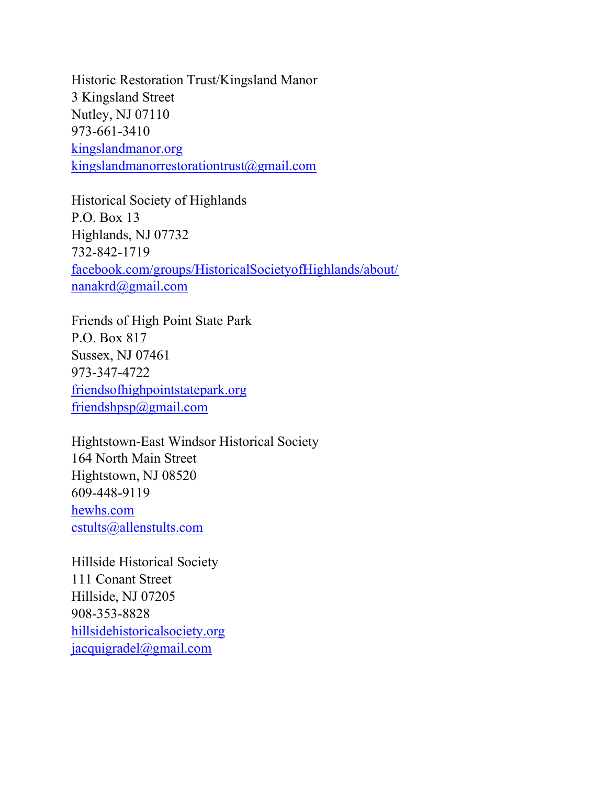Historic Restoration Trust/Kingsland Manor 3 Kingsland Street Nutley, NJ 07110 973-661-3410 kingslandmanor.org kingslandmanorrestorationtrust@gmail.com

Historical Society of Highlands P.O. Box 13 Highlands, NJ 07732 732-842-1719 facebook.com/groups/HistoricalSocietyofHighlands/about/ nanakrd@gmail.com

Friends of High Point State Park P.O. Box 817 Sussex, NJ 07461 973-347-4722 friendsofhighpointstatepark.org friendshpsp@gmail.com

Hightstown-East Windsor Historical Society 164 North Main Street Hightstown, NJ 08520 609-448-9119 hewhs.com cstults@allenstults.com

Hillside Historical Society 111 Conant Street Hillside, NJ 07205 908-353-8828 hillsidehistoricalsociety.org jacquigradel@gmail.com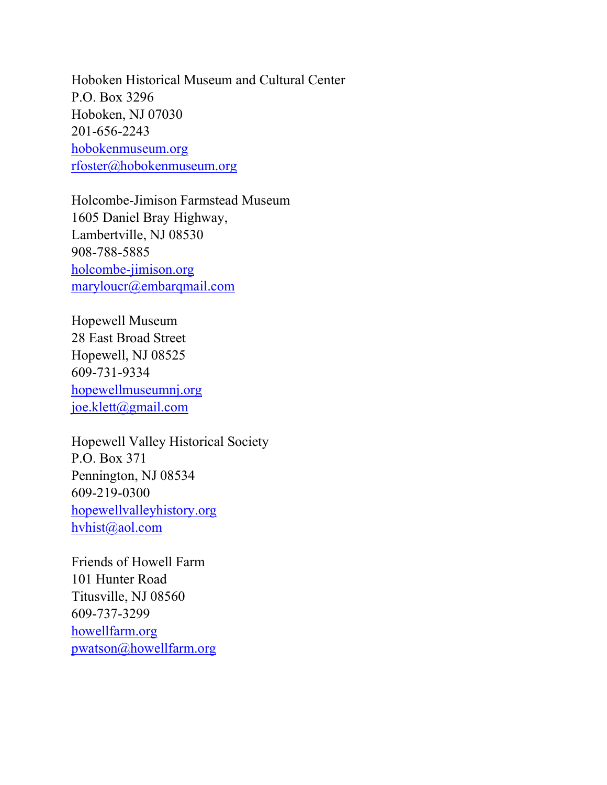Hoboken Historical Museum and Cultural Center P.O. Box 3296 Hoboken, NJ 07030 201-656-2243 hobokenmuseum.org rfoster@hobokenmuseum.org

Holcombe-Jimison Farmstead Museum 1605 Daniel Bray Highway, Lambertville, NJ 08530 908-788-5885 holcombe-jimison.org maryloucr@embarqmail.com

Hopewell Museum 28 East Broad Street Hopewell, NJ 08525 609-731-9334 hopewellmuseumnj.org joe.klett@gmail.com

Hopewell Valley Historical Society P.O. Box 371 Pennington, NJ 08534 609-219-0300 hopewellvalleyhistory.org hvhist@aol.com

Friends of Howell Farm 101 Hunter Road Titusville, NJ 08560 609-737-3299 howellfarm.org pwatson@howellfarm.org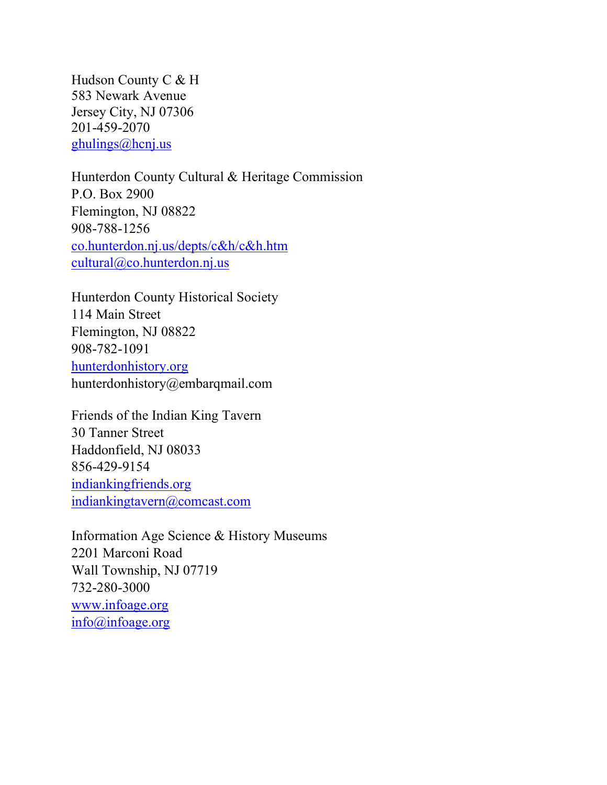Hudson County C & H 583 Newark Avenue Jersey City, NJ 07306 201-459-2070 ghulings@hcnj.us

Hunterdon County Cultural & Heritage Commission P.O. Box 2900 Flemington, NJ 08822 908-788-1256 co.hunterdon.nj.us/depts/c&h/c&h.htm cultural@co.hunterdon.nj.us

Hunterdon County Historical Society 114 Main Street Flemington, NJ 08822 908-782-1091 hunterdonhistory.org hunterdonhistory@embarqmail.com

Friends of the Indian King Tavern 30 Tanner Street Haddonfield, NJ 08033 856-429-9154 indiankingfriends.org indiankingtavern@comcast.com

Information Age Science & History Museums 2201 Marconi Road Wall Township, NJ 07719 732-280-3000 www.infoage.org info@infoage.org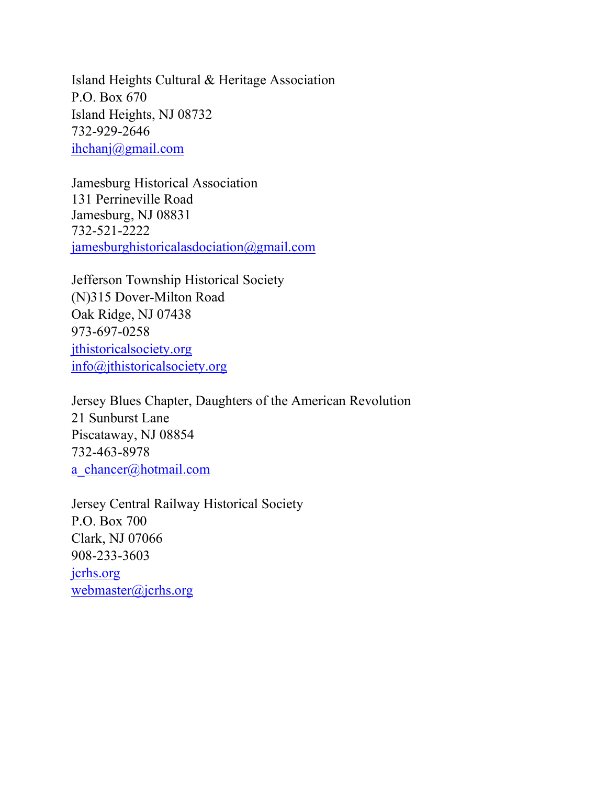Island Heights Cultural & Heritage Association P.O. Box 670 Island Heights, NJ 08732 732-929-2646 ihchanj@gmail.com

Jamesburg Historical Association 131 Perrineville Road Jamesburg, NJ 08831 732-521-2222 jamesburghistoricalasdociation@gmail.com

Jefferson Township Historical Society (N)315 Dover-Milton Road Oak Ridge, NJ 07438 973-697-0258 jthistoricalsociety.org info@jthistoricalsociety.org

Jersey Blues Chapter, Daughters of the American Revolution 21 Sunburst Lane Piscataway, NJ 08854 732-463-8978 a\_chancer@hotmail.com

Jersey Central Railway Historical Society P.O. Box 700 Clark, NJ 07066 908-233-3603 jcrhs.org webmaster@jcrhs.org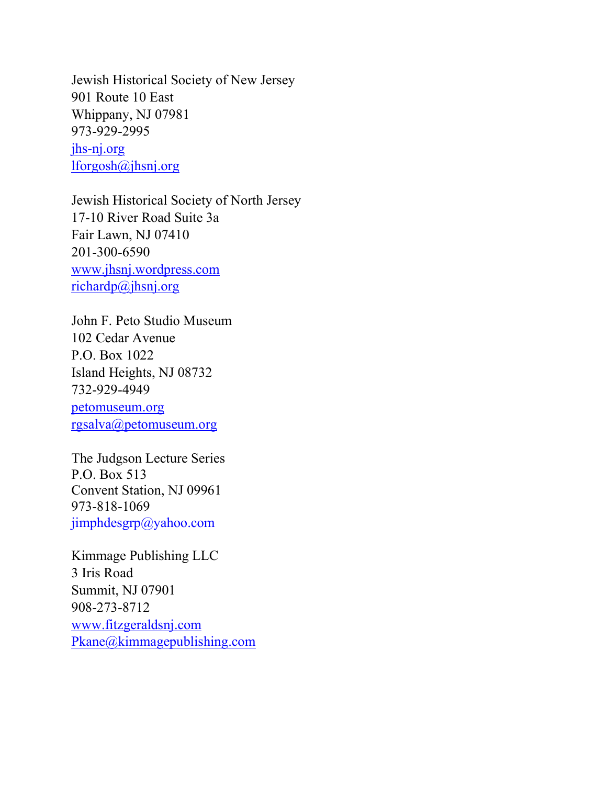Jewish Historical Society of New Jersey 901 Route 10 East Whippany, NJ 07981 973-929-2995 jhs-nj.org lforgosh@jhsnj.org

Jewish Historical Society of North Jersey 17-10 River Road Suite 3a Fair Lawn, NJ 07410 201-300-6590 www.jhsnj.wordpress.com richardp@jhsnj.org

John F. Peto Studio Museum 102 Cedar Avenue P.O. Box 1022 Island Heights, NJ 08732 732-929-4949

petomuseum.org rgsalva@petomuseum.org

The Judgson Lecture Series P.O. Box 513 Convent Station, NJ 09961 973-818-1069 jimphdesgrp@yahoo.com

Kimmage Publishing LLC 3 Iris Road Summit, NJ 07901 908-273-8712 www.fitzgeraldsnj.com Pkane@kimmagepublishing.com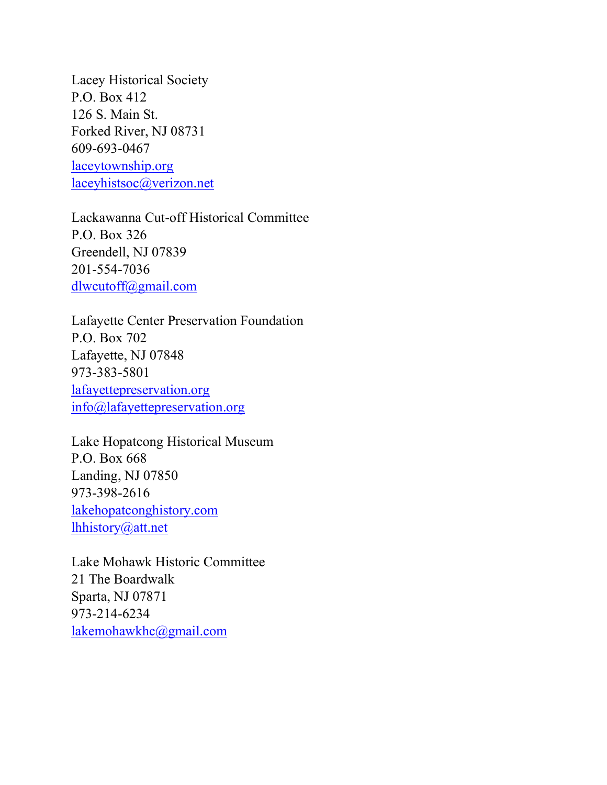Lacey Historical Society P.O. Box 412 126 S. Main St. Forked River, NJ 08731 609-693-0467 laceytownship.org laceyhistsoc@verizon.net

Lackawanna Cut-off Historical Committee P.O. Box 326 Greendell, NJ 07839 201-554-7036 dlwcutoff@gmail.com

Lafayette Center Preservation Foundation P.O. Box 702 Lafayette, NJ 07848 973-383-5801 lafayettepreservation.org info@lafayettepreservation.org

Lake Hopatcong Historical Museum P.O. Box 668 Landing, NJ 07850 973-398-2616 lakehopatconghistory.com lhhistory@att.net

Lake Mohawk Historic Committee 21 The Boardwalk Sparta, NJ 07871 973-214-6234 lakemohawkhc@gmail.com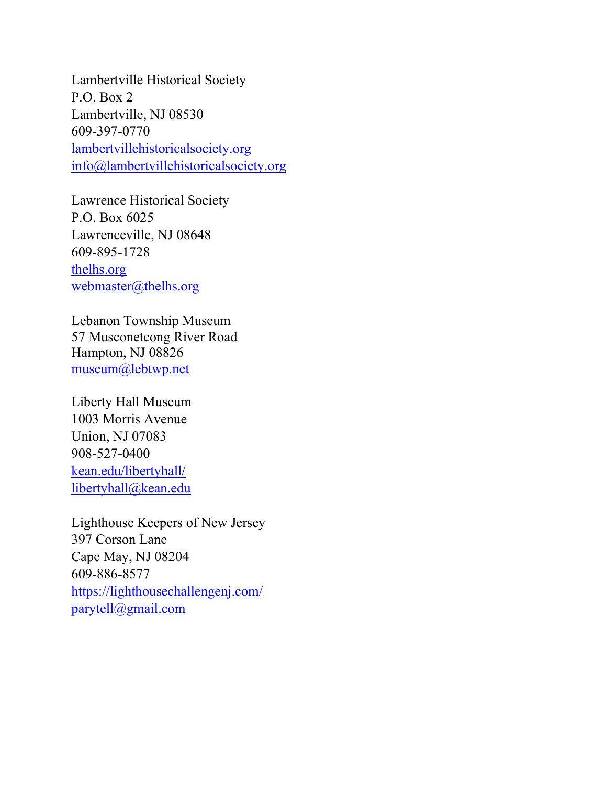Lambertville Historical Society P.O. Box 2 Lambertville, NJ 08530 609-397-0770 lambertvillehistoricalsociety.org info@lambertvillehistoricalsociety.org

Lawrence Historical Society P.O. Box 6025 Lawrenceville, NJ 08648 609-895-1728 thelhs.org webmaster@thelhs.org

Lebanon Township Museum 57 Musconetcong River Road Hampton, NJ 08826 museum@lebtwp.net

Liberty Hall Museum 1003 Morris Avenue Union, NJ 07083 908-527-0400 kean.edu/libertyhall/ libertyhall@kean.edu

Lighthouse Keepers of New Jersey 397 Corson Lane Cape May, NJ 08204 609-886-8577 https://lighthousechallengenj.com/ parytell@gmail.com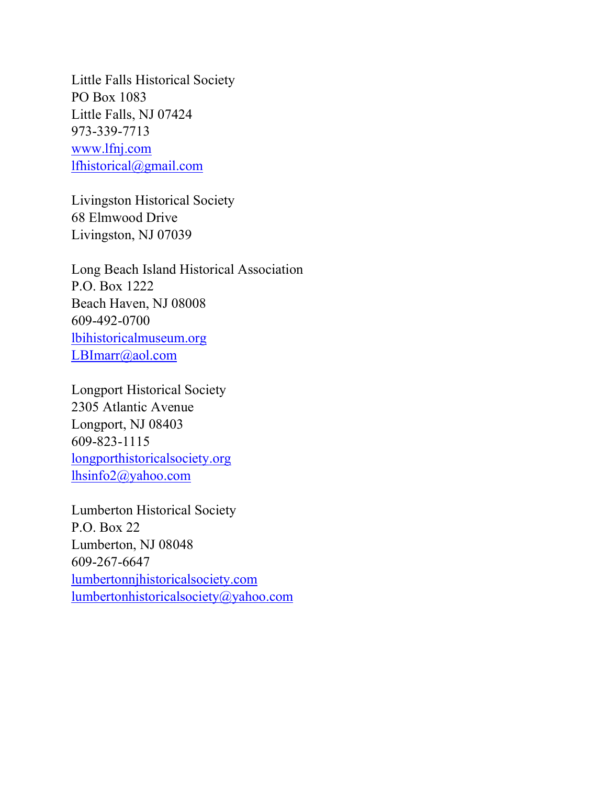Little Falls Historical Society PO Box 1083 Little Falls, NJ 07424 973-339-7713 www.lfnj.com lfhistorical@gmail.com

Livingston Historical Society 68 Elmwood Drive Livingston, NJ 07039

Long Beach Island Historical Association P.O. Box 1222 Beach Haven, NJ 08008 609-492-0700 lbihistoricalmuseum.org LBImarr@aol.com

Longport Historical Society 2305 Atlantic Avenue Longport, NJ 08403 609-823-1115 longporthistoricalsociety.org lhsinfo2@yahoo.com

Lumberton Historical Society P.O. Box 22 Lumberton, NJ 08048 609-267-6647 lumbertonnjhistoricalsociety.com lumbertonhistoricalsociety@yahoo.com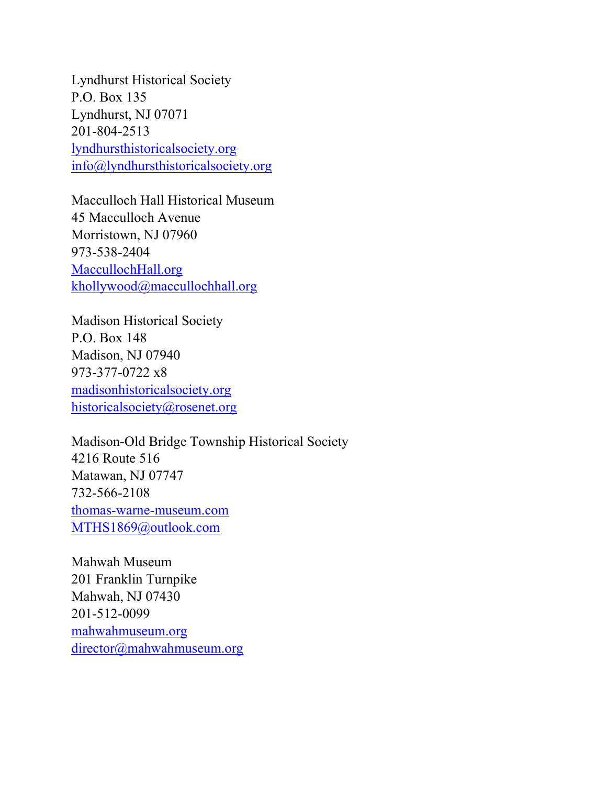Lyndhurst Historical Society P.O. Box 135 Lyndhurst, NJ 07071 201-804-2513 lyndhursthistoricalsociety.org info@lyndhursthistoricalsociety.org

Macculloch Hall Historical Museum 45 Macculloch Avenue Morristown, NJ 07960 973-538-2404 MaccullochHall.org khollywood@maccullochhall.org

Madison Historical Society P.O. Box 148 Madison, NJ 07940 973-377-0722 x8 madisonhistoricalsociety.org historicalsociety@rosenet.org

Madison-Old Bridge Township Historical Society 4216 Route 516 Matawan, NJ 07747 732-566-2108 thomas-warne-museum.com MTHS1869@outlook.com

Mahwah Museum 201 Franklin Turnpike Mahwah, NJ 07430 201-512-0099 mahwahmuseum.org director@mahwahmuseum.org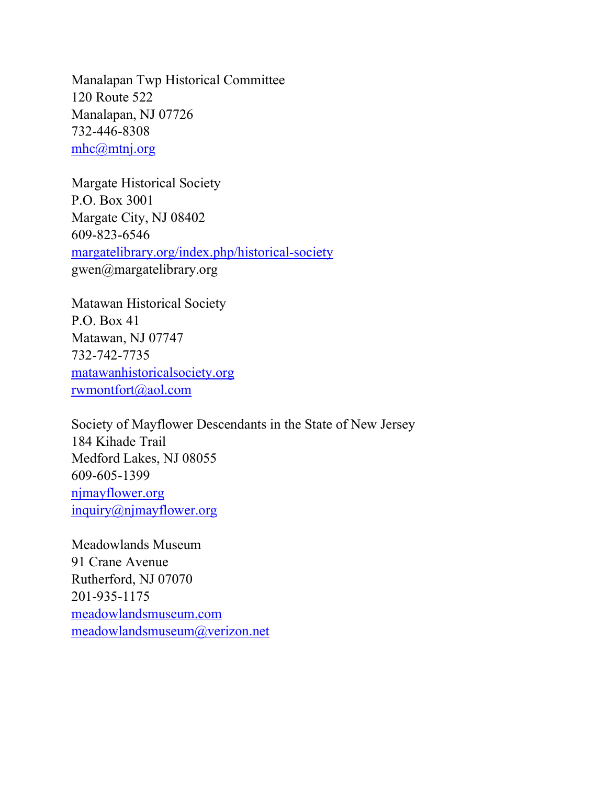Manalapan Twp Historical Committee 120 Route 522 Manalapan, NJ 07726 732-446-8308 mhc@mtnj.org

Margate Historical Society P.O. Box 3001 Margate City, NJ 08402 609-823-6546 margatelibrary.org/index.php/historical-society gwen@margatelibrary.org

Matawan Historical Society P.O. Box 41 Matawan, NJ 07747 732-742-7735 matawanhistoricalsociety.org rwmontfort@aol.com

Society of Mayflower Descendants in the State of New Jersey 184 Kihade Trail Medford Lakes, NJ 08055 609-605-1399 njmayflower.org inquiry@njmayflower.org

Meadowlands Museum 91 Crane Avenue Rutherford, NJ 07070 201-935-1175 meadowlandsmuseum.com meadowlandsmuseum@verizon.net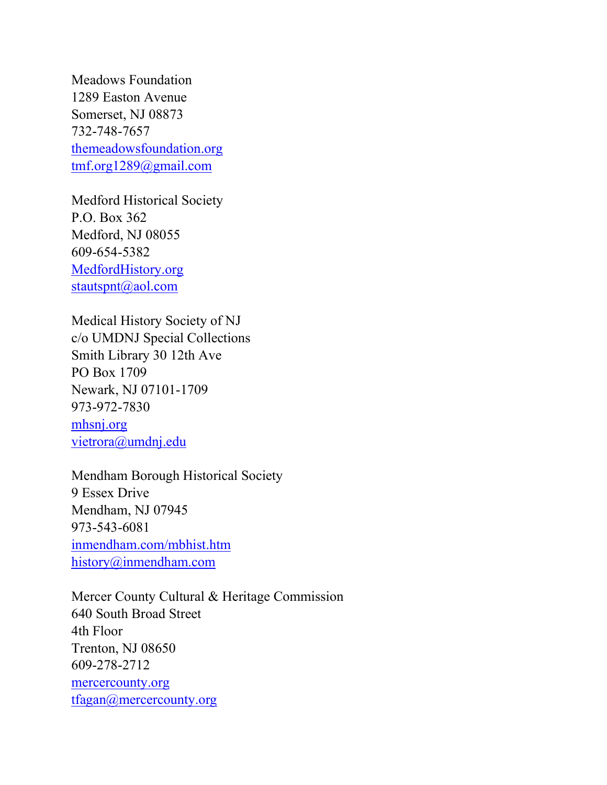Meadows Foundation 1289 Easton Avenue Somerset, NJ 08873 732-748-7657 themeadowsfoundation.org tmf.org1289@gmail.com

Medford Historical Society P.O. Box 362 Medford, NJ 08055 609-654-5382 MedfordHistory.org stautspnt@aol.com

Medical History Society of NJ c/o UMDNJ Special Collections Smith Library 30 12th Ave PO Box 1709 Newark, NJ 07101-1709 973-972-7830 mhsnj.org vietrora@umdnj.edu

Mendham Borough Historical Society 9 Essex Drive Mendham, NJ 07945 973-543-6081 inmendham.com/mbhist.htm history@inmendham.com

Mercer County Cultural & Heritage Commission 640 South Broad Street 4th Floor Trenton, NJ 08650 609-278-2712 mercercounty.org tfagan@mercercounty.org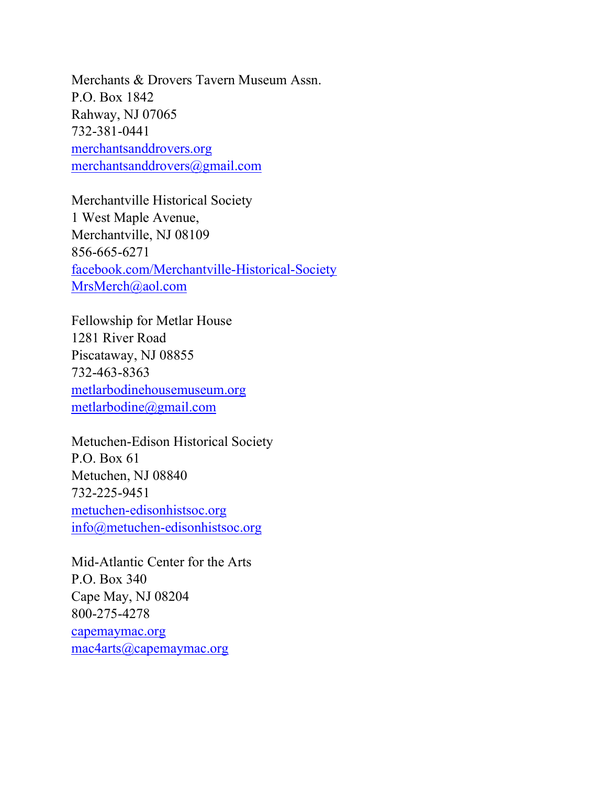Merchants & Drovers Tavern Museum Assn. P.O. Box 1842 Rahway, NJ 07065 732-381-0441 merchantsanddrovers.org merchantsanddrovers@gmail.com

Merchantville Historical Society 1 West Maple Avenue, Merchantville, NJ 08109 856-665-6271 facebook.com/Merchantville-Historical-Society MrsMerch@aol.com

Fellowship for Metlar House 1281 River Road Piscataway, NJ 08855 732-463-8363 metlarbodinehousemuseum.org metlarbodine@gmail.com

Metuchen-Edison Historical Society P.O. Box 61 Metuchen, NJ 08840 732-225-9451 metuchen-edisonhistsoc.org info@metuchen-edisonhistsoc.org

Mid-Atlantic Center for the Arts P.O. Box 340 Cape May, NJ 08204 800-275-4278 capemaymac.org mac4arts@capemaymac.org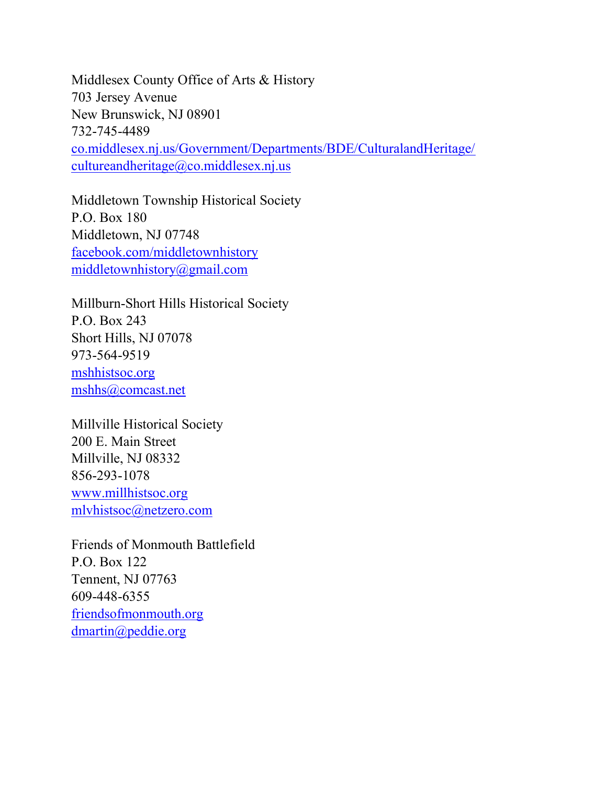Middlesex County Office of Arts & History 703 Jersey Avenue New Brunswick, NJ 08901 732-745-4489 co.middlesex.nj.us/Government/Departments/BDE/CulturalandHeritage/ cultureandheritage@co.middlesex.nj.us

Middletown Township Historical Society P.O. Box 180 Middletown, NJ 07748 facebook.com/middletownhistory middletownhistory@gmail.com

Millburn-Short Hills Historical Society P.O. Box 243 Short Hills, NJ 07078 973-564-9519 mshhistsoc.org mshhs@comcast.net

Millville Historical Society 200 E. Main Street Millville, NJ 08332 856-293-1078 www.millhistsoc.org mlvhistsoc@netzero.com

Friends of Monmouth Battlefield P.O. Box 122 Tennent, NJ 07763 609-448-6355 friendsofmonmouth.org dmartin@peddie.org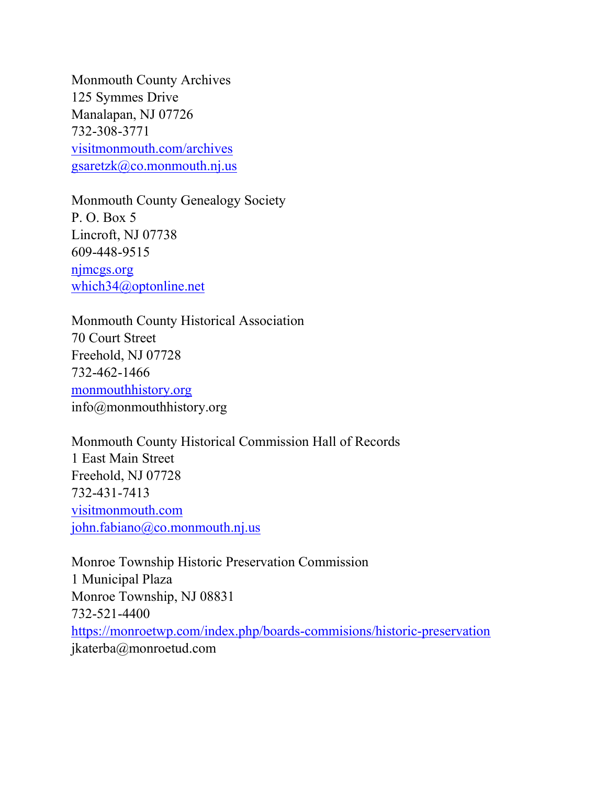Monmouth County Archives 125 Symmes Drive Manalapan, NJ 07726 732-308-3771 visitmonmouth.com/archives  $gsaretzk@co.monmouth.nj.us$ 

Monmouth County Genealogy Society P. O. Box 5 Lincroft, NJ 07738 609-448-9515 njmcgs.org which34@optonline.net

Monmouth County Historical Association 70 Court Street Freehold, NJ 07728 732-462-1466 monmouthhistory.org info@monmouthhistory.org

Monmouth County Historical Commission Hall of Records 1 East Main Street Freehold, NJ 07728 732-431-7413 visitmonmouth.com john.fabiano@co.monmouth.nj.us

Monroe Township Historic Preservation Commission 1 Municipal Plaza Monroe Township, NJ 08831 732-521-4400 https://monroetwp.com/index.php/boards-commisions/historic-preservation jkaterba@monroetud.com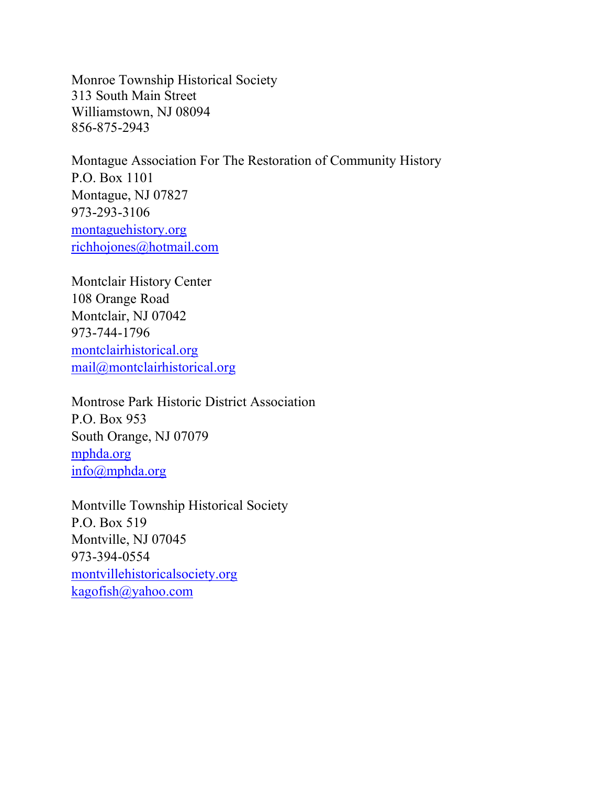Monroe Township Historical Society 313 South Main Street Williamstown, NJ 08094 856-875-2943

Montague Association For The Restoration of Community History P.O. Box 1101 Montague, NJ 07827 973-293-3106 montaguehistory.org richhojones@hotmail.com

Montclair History Center 108 Orange Road Montclair, NJ 07042 973-744-1796 montclairhistorical.org mail@montclairhistorical.org

Montrose Park Historic District Association P.O. Box 953 South Orange, NJ 07079 mphda.org info@mphda.org

Montville Township Historical Society P.O. Box 519 Montville, NJ 07045 973-394-0554 montvillehistoricalsociety.org kagofish@yahoo.com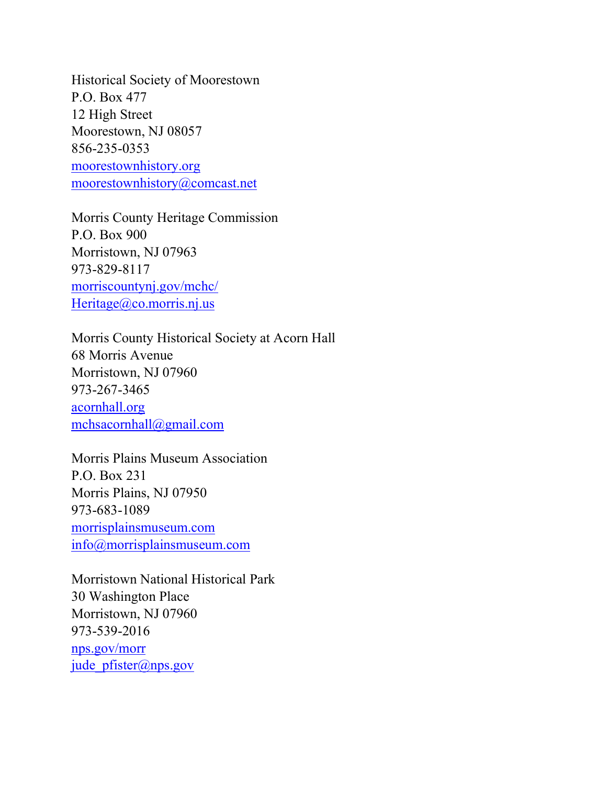Historical Society of Moorestown P.O. Box 477 12 High Street Moorestown, NJ 08057 856-235-0353 moorestownhistory.org moorestownhistory@comcast.net

Morris County Heritage Commission P.O. Box 900 Morristown, NJ 07963 973-829-8117 morriscountynj.gov/mchc/ Heritage@co.morris.nj.us

Morris County Historical Society at Acorn Hall 68 Morris Avenue Morristown, NJ 07960 973-267-3465 acornhall.org mchsacornhall@gmail.com

Morris Plains Museum Association P.O. Box 231 Morris Plains, NJ 07950 973-683-1089 morrisplainsmuseum.com info@morrisplainsmuseum.com

Morristown National Historical Park 30 Washington Place Morristown, NJ 07960 973-539-2016 nps.gov/morr jude pfister@nps.gov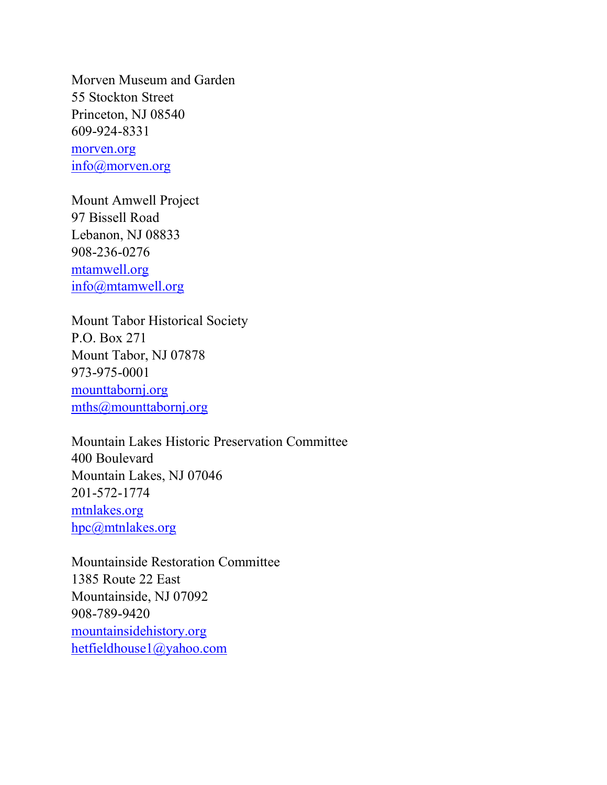Morven Museum and Garden 55 Stockton Street Princeton, NJ 08540 609-924-8331 morven.org info@morven.org

Mount Amwell Project 97 Bissell Road Lebanon, NJ 08833 908-236-0276 mtamwell.org info@mtamwell.org

Mount Tabor Historical Society P.O. Box 271 Mount Tabor, NJ 07878 973-975-0001 mounttabornj.org mths@mounttabornj.org

Mountain Lakes Historic Preservation Committee 400 Boulevard Mountain Lakes, NJ 07046 201-572-1774 mtnlakes.org hpc@mtnlakes.org

Mountainside Restoration Committee 1385 Route 22 East Mountainside, NJ 07092 908-789-9420 mountainsidehistory.org hetfieldhouse1@yahoo.com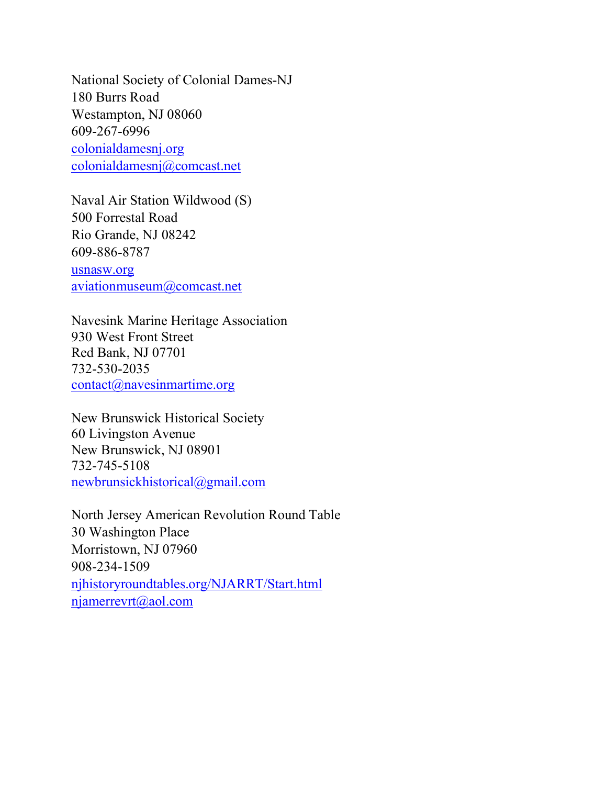National Society of Colonial Dames-NJ 180 Burrs Road Westampton, NJ 08060 609-267-6996 colonialdamesnj.org colonialdamesnj@comcast.net

Naval Air Station Wildwood (S) 500 Forrestal Road Rio Grande, NJ 08242 609-886-8787 usnasw.org aviationmuseum@comcast.net

Navesink Marine Heritage Association 930 West Front Street Red Bank, NJ 07701 732-530-2035 contact@navesinmartime.org

New Brunswick Historical Society 60 Livingston Avenue New Brunswick, NJ 08901 732-745-5108 newbrunsickhistorical@gmail.com

North Jersey American Revolution Round Table 30 Washington Place Morristown, NJ 07960 908-234-1509 njhistoryroundtables.org/NJARRT/Start.html njamerrevrt@aol.com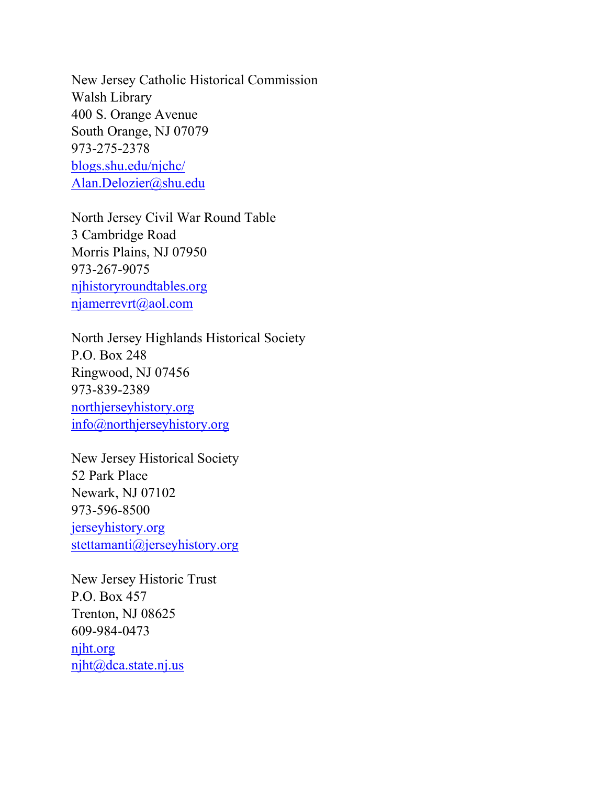New Jersey Catholic Historical Commission Walsh Library 400 S. Orange Avenue South Orange, NJ 07079 973-275-2378 blogs.shu.edu/njchc/ Alan.Delozier@shu.edu

North Jersey Civil War Round Table 3 Cambridge Road Morris Plains, NJ 07950 973-267-9075 njhistoryroundtables.org njamerrevrt@aol.com

North Jersey Highlands Historical Society P.O. Box 248 Ringwood, NJ 07456 973-839-2389 northjerseyhistory.org info@northjerseyhistory.org

New Jersey Historical Society 52 Park Place Newark, NJ 07102 973-596-8500 jerseyhistory.org stettamanti@jerseyhistory.org

New Jersey Historic Trust P.O. Box 457 Trenton, NJ 08625 609-984-0473 njht.org njht@dca.state.nj.us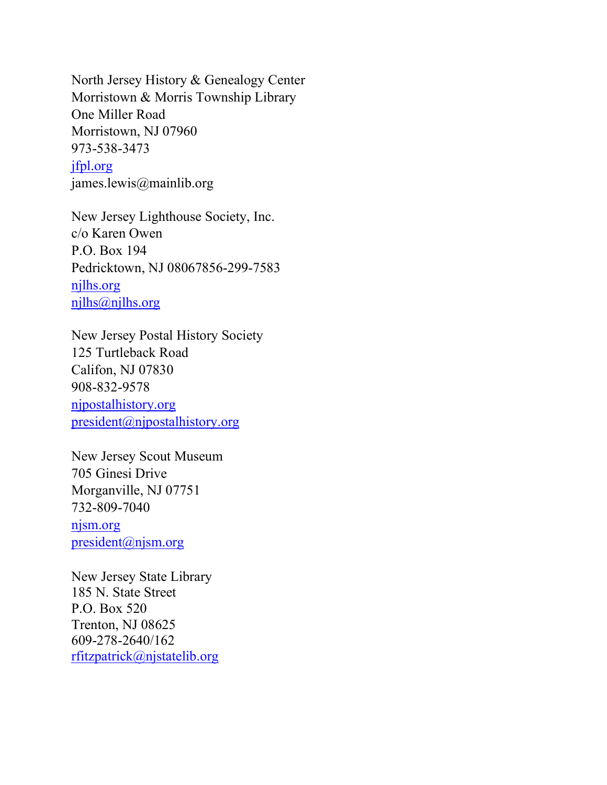North Jersey History & Genealogy Center Morristown & Morris Township Library One Miller Road Morristown, NJ 07960 973-538-3473 jfpl.org james.lewis@mainlib.org

New Jersey Lighthouse Society, Inc. c/o Karen Owen P.O. Box 194 Pedricktown, NJ 08067856-299-7583 njlhs.org njlhs@njlhs.org

New Jersey Postal History Society 125 Turtleback Road Califon, NJ 07830 908-832-9578 njpostalhistory.org president@njpostalhistory.org

New Jersey Scout Museum 705 Ginesi Drive Morganville, NJ 07751 732-809-7040 njsm.org president@njsm.org

New Jersey State Library 185 N. State Street P.O. Box 520 Trenton, NJ 08625 609-278-2640/162 rfitzpatrick@njstatelib.org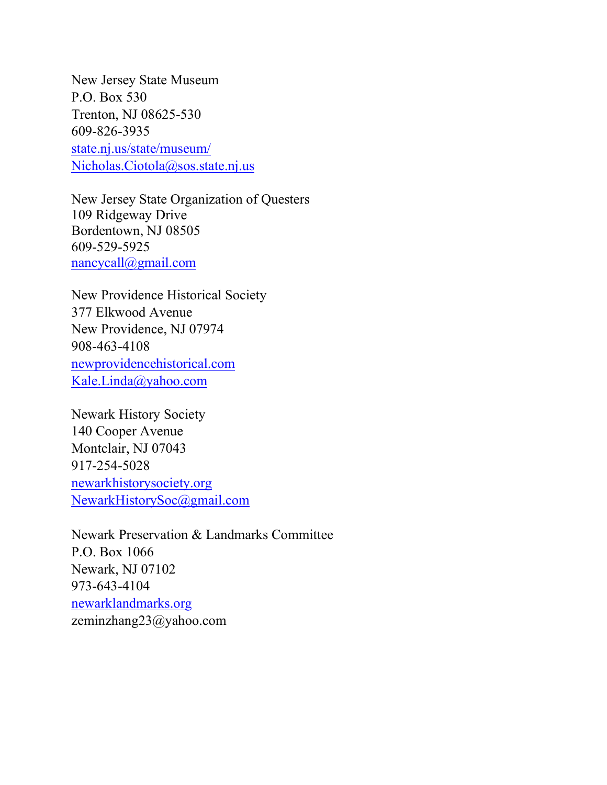New Jersey State Museum P.O. Box 530 Trenton, NJ 08625-530 609-826-3935 state.nj.us/state/museum/ Nicholas.Ciotola@sos.state.nj.us

New Jersey State Organization of Questers 109 Ridgeway Drive Bordentown, NJ 08505 609-529-5925 nancycall@gmail.com

New Providence Historical Society 377 Elkwood Avenue New Providence, NJ 07974 908-463-4108 newprovidencehistorical.com Kale.Linda@yahoo.com

Newark History Society 140 Cooper Avenue Montclair, NJ 07043 917-254-5028 newarkhistorysociety.org NewarkHistorySoc@gmail.com

Newark Preservation & Landmarks Committee P.O. Box 1066 Newark, NJ 07102 973-643-4104 newarklandmarks.org zeminzhang23@yahoo.com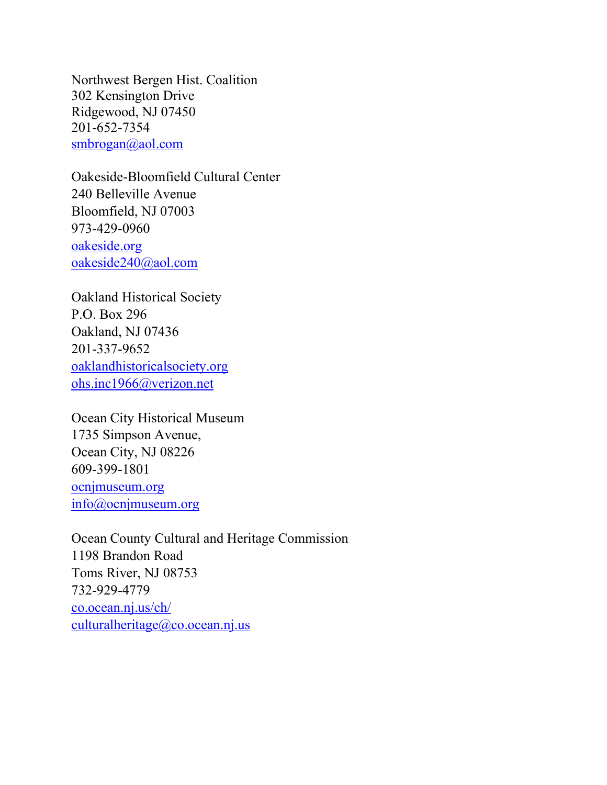Northwest Bergen Hist. Coalition 302 Kensington Drive Ridgewood, NJ 07450 201-652-7354 smbrogan@aol.com

Oakeside-Bloomfield Cultural Center 240 Belleville Avenue Bloomfield, NJ 07003 973-429-0960 oakeside.org oakeside240@aol.com

Oakland Historical Society P.O. Box 296 Oakland, NJ 07436 201-337-9652 oaklandhistoricalsociety.org ohs.inc1966@verizon.net

Ocean City Historical Museum 1735 Simpson Avenue, Ocean City, NJ 08226 609-399-1801 ocnjmuseum.org info@ocnjmuseum.org

Ocean County Cultural and Heritage Commission 1198 Brandon Road Toms River, NJ 08753 732-929-4779 co.ocean.nj.us/ch/ culturalheritage@co.ocean.nj.us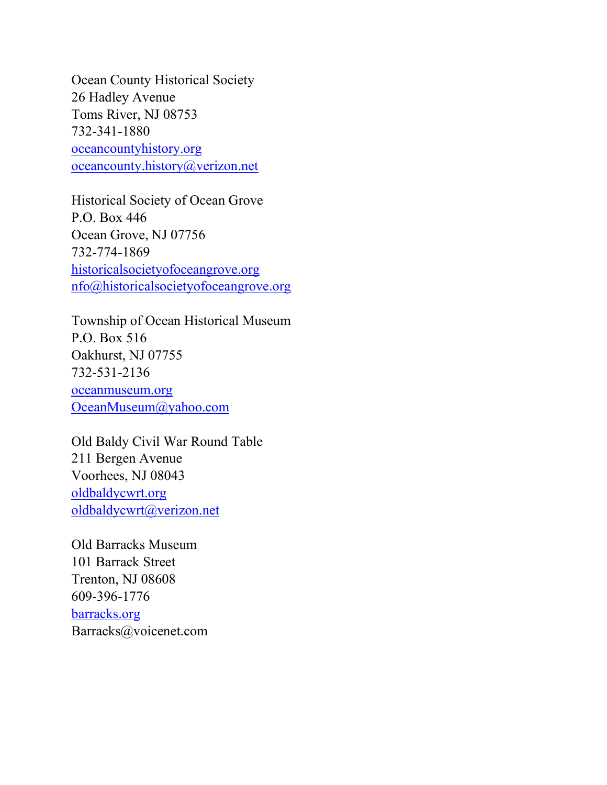Ocean County Historical Society 26 Hadley Avenue Toms River, NJ 08753 732-341-1880 oceancountyhistory.org oceancounty.history@verizon.net

Historical Society of Ocean Grove P.O. Box 446 Ocean Grove, NJ 07756 732-774-1869 historicalsocietyofoceangrove.org nfo@historicalsocietyofoceangrove.org

Township of Ocean Historical Museum P.O. Box 516 Oakhurst, NJ 07755 732-531-2136 oceanmuseum.org OceanMuseum@yahoo.com

Old Baldy Civil War Round Table 211 Bergen Avenue Voorhees, NJ 08043 oldbaldycwrt.org oldbaldycwrt@verizon.net

Old Barracks Museum 101 Barrack Street Trenton, NJ 08608 609-396-1776 barracks.org Barracks@voicenet.com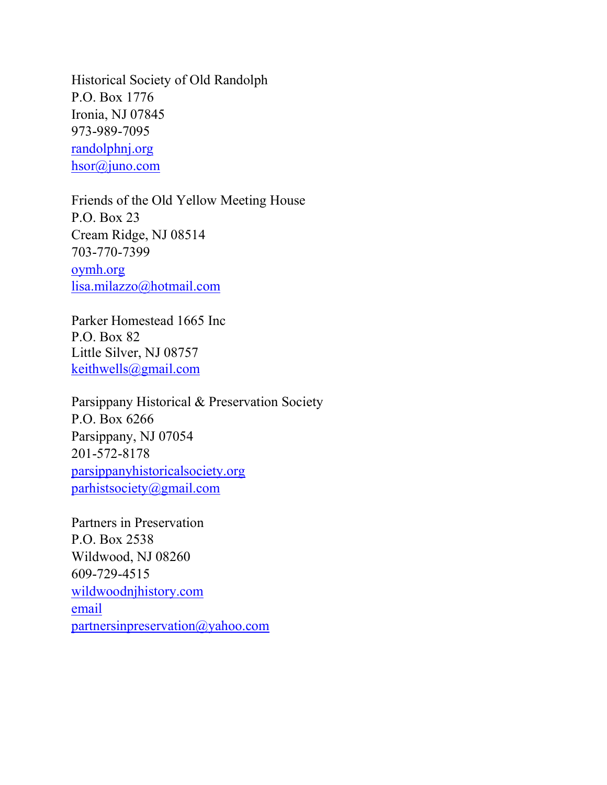Historical Society of Old Randolph P.O. Box 1776 Ironia, NJ 07845 973-989-7095 randolphnj.org hsor@juno.com

Friends of the Old Yellow Meeting House P.O. Box 23 Cream Ridge, NJ 08514 703-770-7399 oymh.org lisa.milazzo@hotmail.com

Parker Homestead 1665 Inc P.O. Box 82 Little Silver, NJ 08757 keithwells@gmail.com

Parsippany Historical & Preservation Society P.O. Box 6266 Parsippany, NJ 07054 201-572-8178 parsippanyhistoricalsociety.org parhistsociety@gmail.com

Partners in Preservation P.O. Box 2538 Wildwood, NJ 08260 609-729-4515 wildwoodnjhistory.com email partnersinpreservation@yahoo.com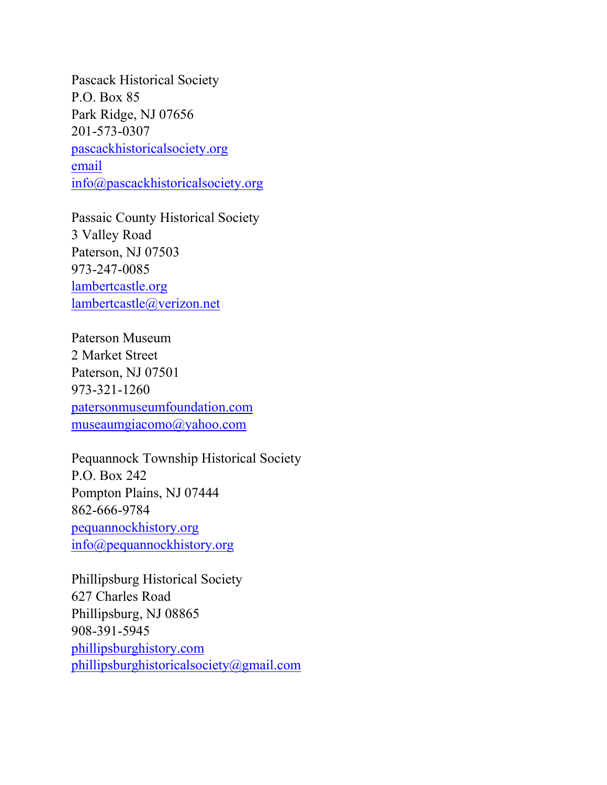Pascack Historical Society P.O. Box 85 Park Ridge, NJ 07656 201-573-0307 pascackhistoricalsociety.org email info@pascackhistoricalsociety.org

Passaic County Historical Society 3 Valley Road Paterson, NJ 07503 973-247-0085 lambertcastle.org lambertcastle@verizon.net

Paterson Museum 2 Market Street Paterson, NJ 07501 973-321-1260 patersonmuseumfoundation.com museaumgiacomo@yahoo.com

Pequannock Township Historical Society P.O. Box 242 Pompton Plains, NJ 07444 862-666-9784 pequannockhistory.org info@pequannockhistory.org

Phillipsburg Historical Society 627 Charles Road Phillipsburg, NJ 08865 908-391-5945 phillipsburghistory.com phillipsburghistoricalsociety@gmail.com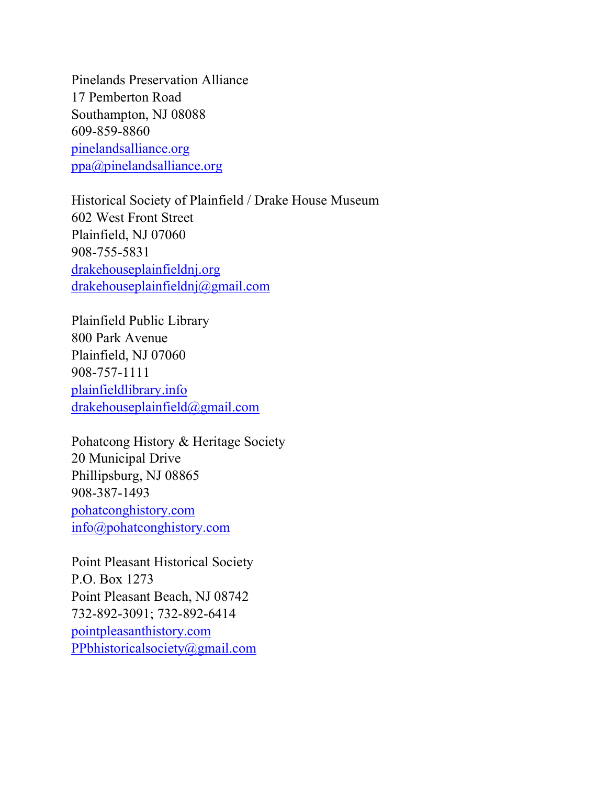Pinelands Preservation Alliance 17 Pemberton Road Southampton, NJ 08088 609-859-8860 pinelandsalliance.org ppa@pinelandsalliance.org

Historical Society of Plainfield / Drake House Museum 602 West Front Street Plainfield, NJ 07060 908-755-5831 drakehouseplainfieldnj.org drakehouseplainfieldnj@gmail.com

Plainfield Public Library 800 Park Avenue Plainfield, NJ 07060 908-757-1111 plainfieldlibrary.info drakehouseplainfield@gmail.com

Pohatcong History & Heritage Society 20 Municipal Drive Phillipsburg, NJ 08865 908-387-1493 pohatconghistory.com info@pohatconghistory.com

Point Pleasant Historical Society P.O. Box 1273 Point Pleasant Beach, NJ 08742 732-892-3091; 732-892-6414 pointpleasanthistory.com PPbhistoricalsociety@gmail.com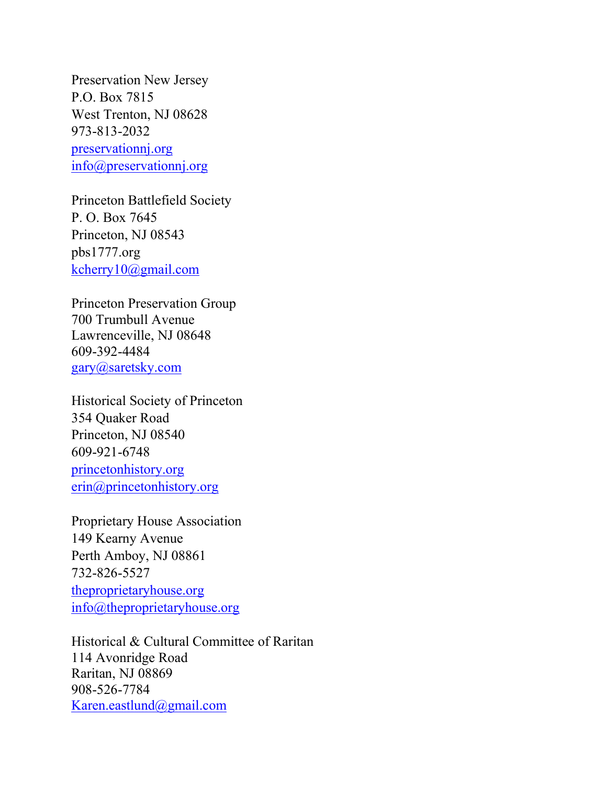Preservation New Jersey P.O. Box 7815 West Trenton, NJ 08628 973-813-2032 preservationnj.org info@preservationnj.org

Princeton Battlefield Society P. O. Box 7645 Princeton, NJ 08543 pbs1777.org kcherry10@gmail.com

Princeton Preservation Group 700 Trumbull Avenue Lawrenceville, NJ 08648 609-392-4484 gary@saretsky.com

Historical Society of Princeton 354 Quaker Road Princeton, NJ 08540 609-921-6748 princetonhistory.org erin@princetonhistory.org

Proprietary House Association 149 Kearny Avenue Perth Amboy, NJ 08861 732-826-5527 theproprietaryhouse.org info@theproprietaryhouse.org

Historical & Cultural Committee of Raritan 114 Avonridge Road Raritan, NJ 08869 908-526-7784 Karen.eastlund@gmail.com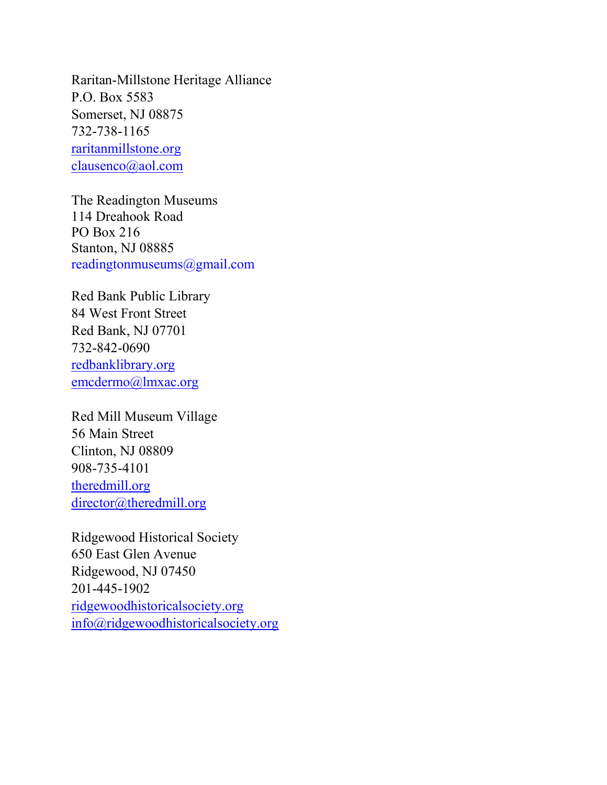Raritan-Millstone Heritage Alliance P.O. Box 5583 Somerset, NJ 08875 732-738-1165 raritanmillstone.org clausenco@aol.com

The Readington Museums 114 Dreahook Road PO Box 216 Stanton, NJ 08885 readingtonmuseums@gmail.com

Red Bank Public Library 84 West Front Street Red Bank, NJ 07701 732-842-0690 redbanklibrary.org emcdermo@lmxac.org

Red Mill Museum Village 56 Main Street Clinton, NJ 08809 908-735-4101 theredmill.org director@theredmill.org

Ridgewood Historical Society 650 East Glen Avenue Ridgewood, NJ 07450 201-445-1902 ridgewoodhistoricalsociety.org info@ridgewoodhistoricalsociety.org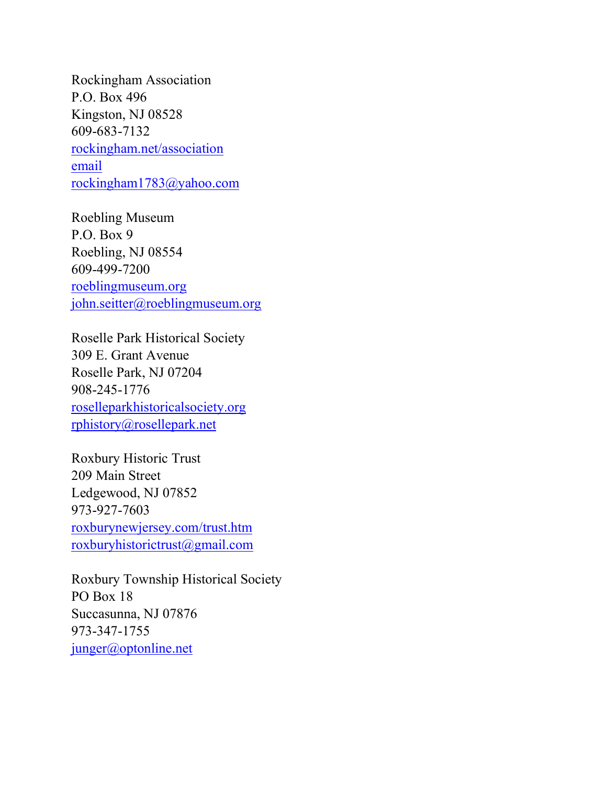Rockingham Association P.O. Box 496 Kingston, NJ 08528 609-683-7132 rockingham.net/association email rockingham1783@yahoo.com

Roebling Museum P.O. Box 9 Roebling, NJ 08554 609-499-7200 roeblingmuseum.org john.seitter@roeblingmuseum.org

Roselle Park Historical Society 309 E. Grant Avenue Roselle Park, NJ 07204 908-245-1776 roselleparkhistoricalsociety.org rphistory@rosellepark.net

Roxbury Historic Trust 209 Main Street Ledgewood, NJ 07852 973-927-7603 roxburynewjersey.com/trust.htm roxburyhistorictrust@gmail.com

Roxbury Township Historical Society PO Box 18 Succasunna, NJ 07876 973-347-1755 junger@optonline.net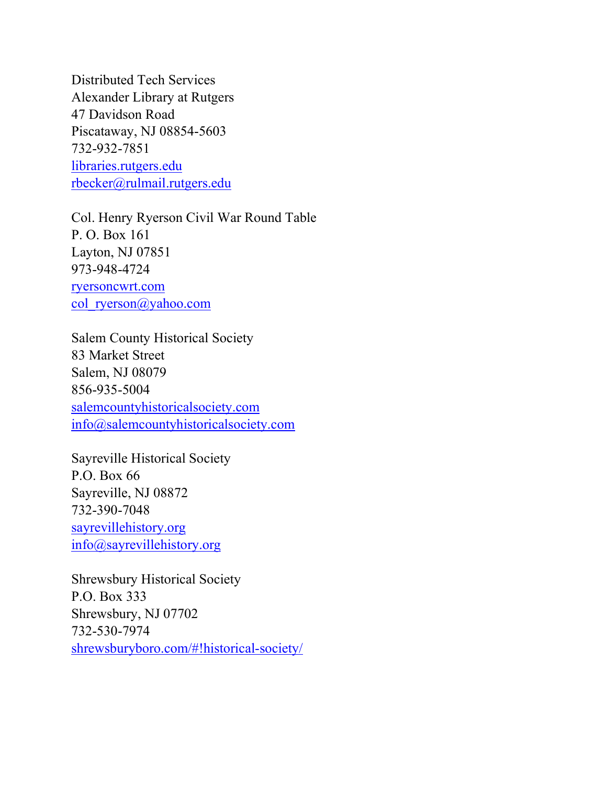Distributed Tech Services Alexander Library at Rutgers 47 Davidson Road Piscataway, NJ 08854-5603 732-932-7851 libraries.rutgers.edu rbecker@rulmail.rutgers.edu

Col. Henry Ryerson Civil War Round Table P. O. Box 161 Layton, NJ 07851 973-948-4724 ryersoncwrt.com col\_ryerson@yahoo.com

Salem County Historical Society 83 Market Street Salem, NJ 08079 856-935-5004 salemcountyhistoricalsociety.com info@salemcountyhistoricalsociety.com

Sayreville Historical Society P.O. Box 66 Sayreville, NJ 08872 732-390-7048 sayrevillehistory.org info@sayrevillehistory.org

Shrewsbury Historical Society P.O. Box 333 Shrewsbury, NJ 07702 732-530-7974 shrewsburyboro.com/#!historical-society/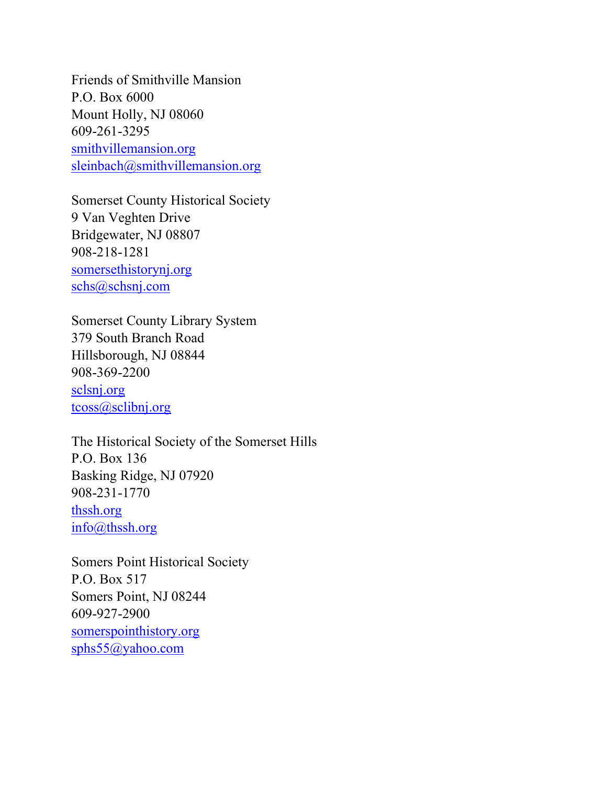Friends of Smithville Mansion P.O. Box 6000 Mount Holly, NJ 08060 609-261-3295 smithvillemansion.org sleinbach@smithvillemansion.org

Somerset County Historical Society 9 Van Veghten Drive Bridgewater, NJ 08807 908-218-1281 somersethistorynj.org schs@schsnj.com

Somerset County Library System 379 South Branch Road Hillsborough, NJ 08844 908-369-2200 sclsnj.org tcoss@sclibnj.org

The Historical Society of the Somerset Hills P.O. Box 136 Basking Ridge, NJ 07920 908-231-1770 thssh.org info@thssh.org

Somers Point Historical Society P.O. Box 517 Somers Point, NJ 08244 609-927-2900 somerspointhistory.org sphs55@yahoo.com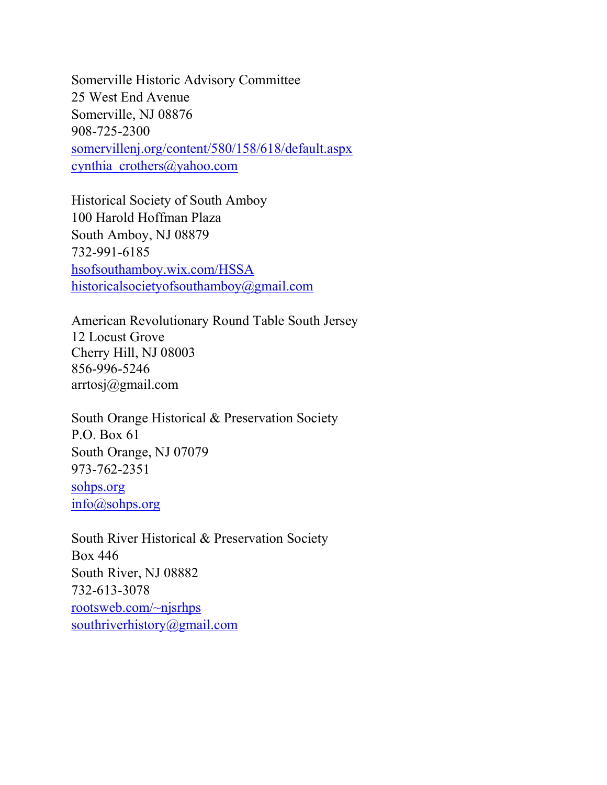Somerville Historic Advisory Committee 25 West End Avenue Somerville, NJ 08876 908-725-2300 somervillenj.org/content/580/158/618/default.aspx cynthia crothers@yahoo.com

Historical Society of South Amboy 100 Harold Hoffman Plaza South Amboy, NJ 08879 732-991-6185 hsofsouthamboy.wix.com/HSSA historicalsocietyofsouthamboy@gmail.com

American Revolutionary Round Table South Jersey 12 Locust Grove Cherry Hill, NJ 08003 856-996-5246 arrtosj@gmail.com

South Orange Historical & Preservation Society P.O. Box 61 South Orange, NJ 07079 973-762-2351 sohps.org info@sohps.org

South River Historical & Preservation Society Box 446 South River, NJ 08882 732-613-3078 rootsweb.com/~njsrhps southriverhistory@gmail.com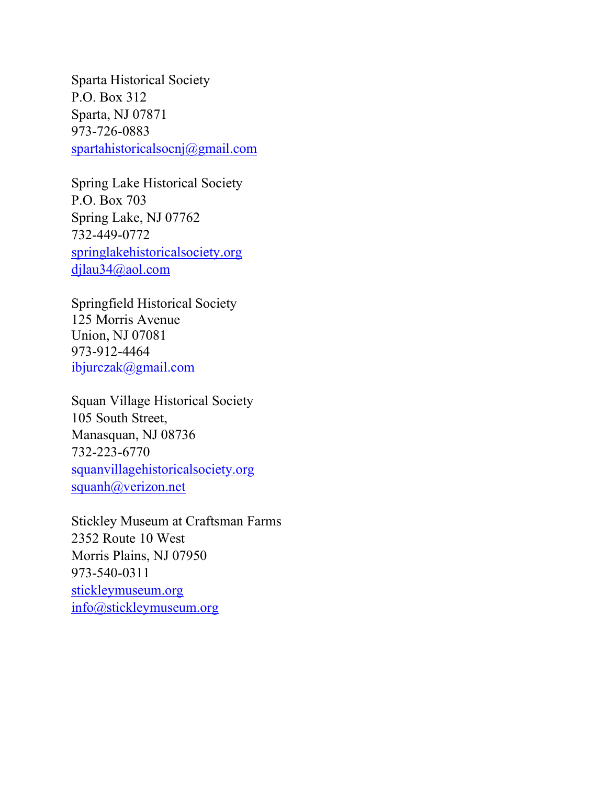Sparta Historical Society P.O. Box 312 Sparta, NJ 07871 973-726-0883 spartahistoricalsocnj@gmail.com

Spring Lake Historical Society P.O. Box 703 Spring Lake, NJ 07762 732-449-0772 springlakehistoricalsociety.org djlau34@aol.com

Springfield Historical Society 125 Morris Avenue Union, NJ 07081 973-912-4464 ibjurczak@gmail.com

Squan Village Historical Society 105 South Street, Manasquan, NJ 08736 732-223-6770 squanvillagehistoricalsociety.org squanh@verizon.net

Stickley Museum at Craftsman Farms 2352 Route 10 West Morris Plains, NJ 07950 973-540-0311 stickleymuseum.org info@stickleymuseum.org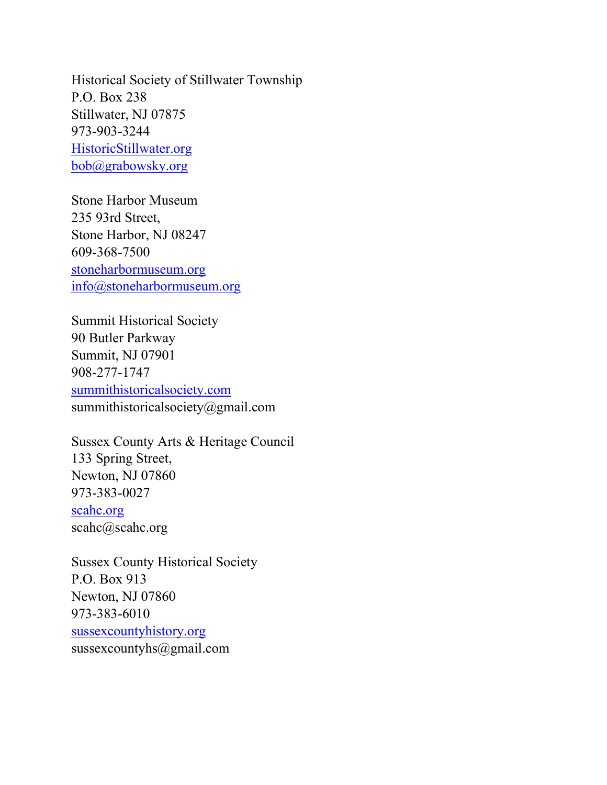Historical Society of Stillwater Township P.O. Box 238 Stillwater, NJ 07875 973-903-3244 HistoricStillwater.org bob@grabowsky.org

Stone Harbor Museum 235 93rd Street, Stone Harbor, NJ 08247 609-368-7500 stoneharbormuseum.org info@stoneharbormuseum.org

Summit Historical Society 90 Butler Parkway Summit, NJ 07901 908-277-1747 summithistoricalsociety.com summithistoricalsociety@gmail.com

Sussex County Arts & Heritage Council 133 Spring Street, Newton, NJ 07860 973-383-0027 scahc.org scahc@scahc.org

Sussex County Historical Society P.O. Box 913 Newton, NJ 07860 973-383-6010 sussexcountyhistory.org sussexcountyhs@gmail.com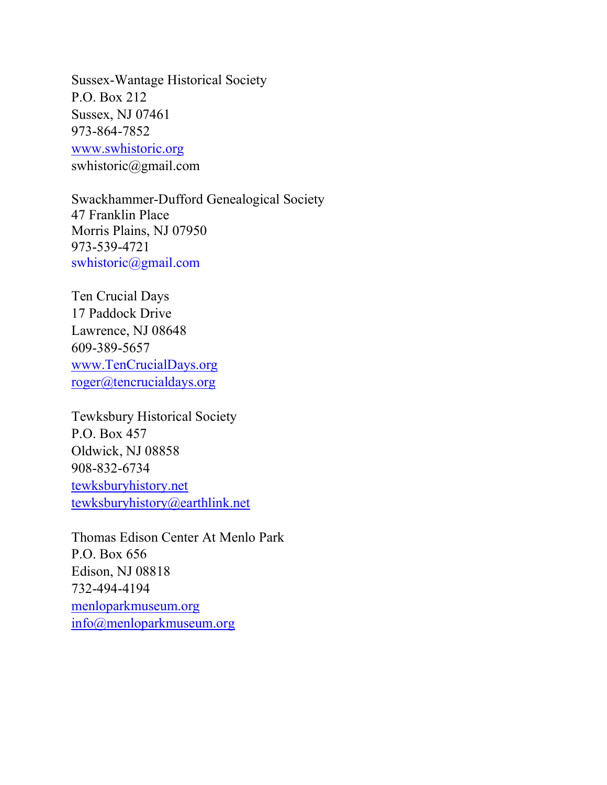Sussex-Wantage Historical Society P.O. Box 212 Sussex, NJ 07461 973-864-7852 www.swhistoric.org swhistoric@gmail.com

Swackhammer-Dufford Genealogical Society 47 Franklin Place Morris Plains, NJ 07950 973-539-4721 swhistoric@gmail.com

Ten Crucial Days 17 Paddock Drive Lawrence, NJ 08648 609-389-5657 www.TenCrucialDays.org roger@tencrucialdays.org

Tewksbury Historical Society P.O. Box 457 Oldwick, NJ 08858 908-832-6734 tewksburyhistory.net tewksburyhistory@earthlink.net

Thomas Edison Center At Menlo Park P.O. Box 656 Edison, NJ 08818 732-494-4194 menloparkmuseum.org info@menloparkmuseum.org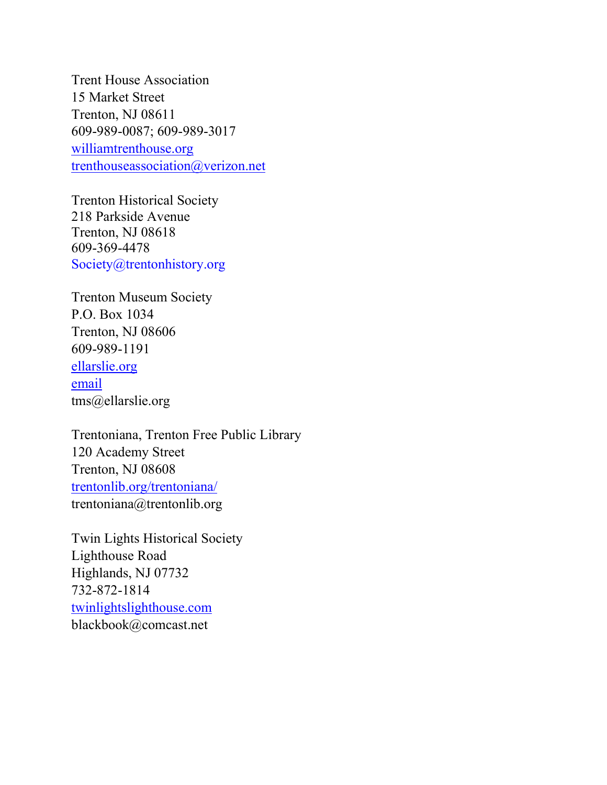Trent House Association 15 Market Street Trenton, NJ 08611 609-989-0087; 609-989-3017 williamtrenthouse.org trenthouseassociation@verizon.net

Trenton Historical Society 218 Parkside Avenue Trenton, NJ 08618 609-369-4478 Society@trentonhistory.org

Trenton Museum Society P.O. Box 1034 Trenton, NJ 08606 609-989-1191 ellarslie.org email tms@ellarslie.org

Trentoniana, Trenton Free Public Library 120 Academy Street Trenton, NJ 08608 trentonlib.org/trentoniana/ trentoniana@trentonlib.org

Twin Lights Historical Society Lighthouse Road Highlands, NJ 07732 732-872-1814 twinlightslighthouse.com blackbook@comcast.net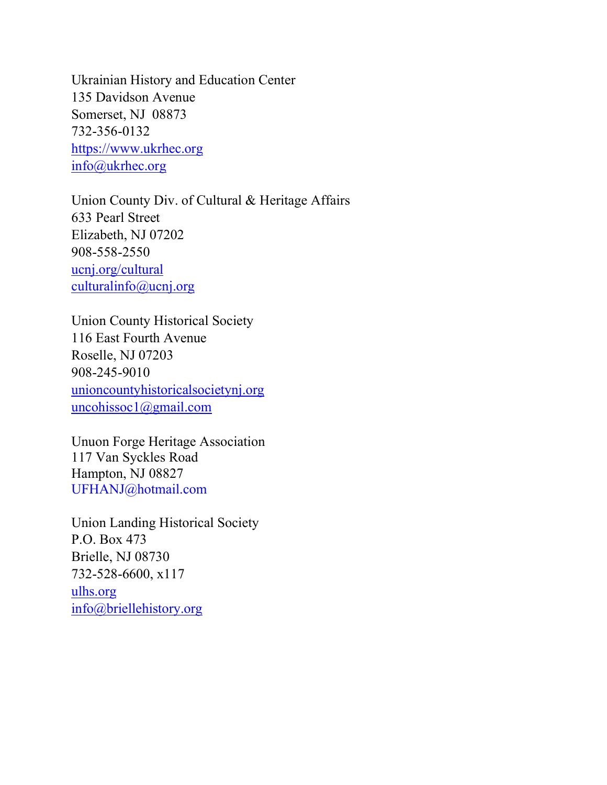Ukrainian History and Education Center 135 Davidson Avenue Somerset, NJ 08873 732-356-0132 https://www.ukrhec.org info@ukrhec.org

Union County Div. of Cultural & Heritage Affairs 633 Pearl Street Elizabeth, NJ 07202 908-558-2550 ucnj.org/cultural culturalinfo@ucnj.org

Union County Historical Society 116 East Fourth Avenue Roselle, NJ 07203 908-245-9010 unioncountyhistoricalsocietynj.org uncohissoc1@gmail.com

Unuon Forge Heritage Association 117 Van Syckles Road Hampton, NJ 08827 UFHANJ@hotmail.com

Union Landing Historical Society P.O. Box 473 Brielle, NJ 08730 732-528-6600, x117 ulhs.org info@briellehistory.org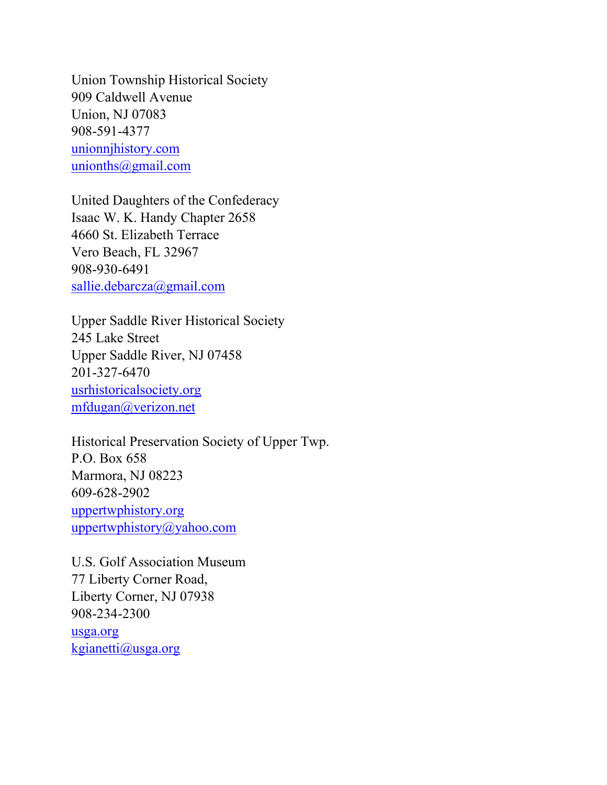Union Township Historical Society 909 Caldwell Avenue Union, NJ 07083 908-591-4377 unionnjhistory.com unionths@gmail.com

United Daughters of the Confederacy Isaac W. K. Handy Chapter 2658 4660 St. Elizabeth Terrace Vero Beach, FL 32967 908-930-6491 sallie.debarcza@gmail.com

Upper Saddle River Historical Society 245 Lake Street Upper Saddle River, NJ 07458 201-327-6470 usrhistoricalsociety.org mfdugan@verizon.net

Historical Preservation Society of Upper Twp. P.O. Box 658 Marmora, NJ 08223 609-628-2902 uppertwphistory.org uppertwphistory@yahoo.com

U.S. Golf Association Museum 77 Liberty Corner Road, Liberty Corner, NJ 07938 908-234-2300 usga.org kgianetti@usga.org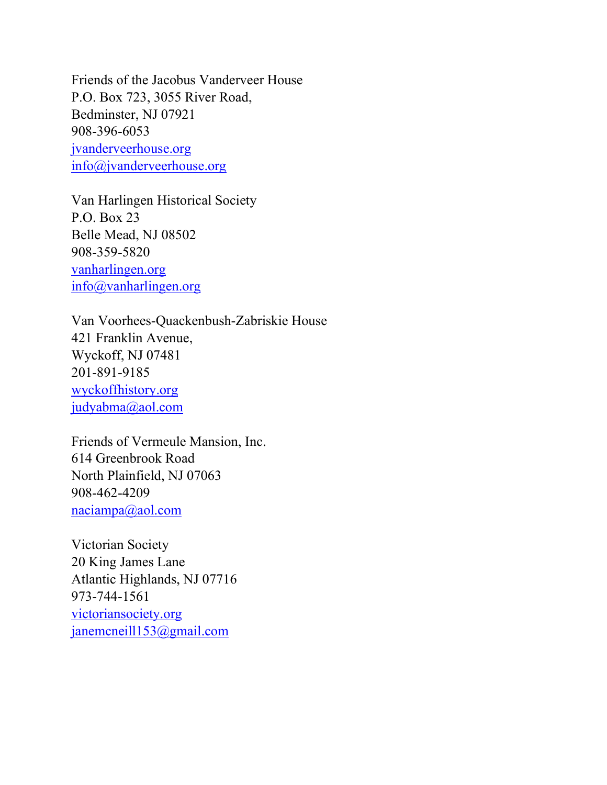Friends of the Jacobus Vanderveer House P.O. Box 723, 3055 River Road, Bedminster, NJ 07921 908-396-6053 jvanderveerhouse.org info@jvanderveerhouse.org

Van Harlingen Historical Society P.O. Box 23 Belle Mead, NJ 08502 908-359-5820 vanharlingen.org info@vanharlingen.org

Van Voorhees-Quackenbush-Zabriskie House 421 Franklin Avenue, Wyckoff, NJ 07481 201-891-9185 wyckoffhistory.org judyabma@aol.com

Friends of Vermeule Mansion, Inc. 614 Greenbrook Road North Plainfield, NJ 07063 908-462-4209 naciampa@aol.com

Victorian Society 20 King James Lane Atlantic Highlands, NJ 07716 973-744-1561 victoriansociety.org janemcneill153@gmail.com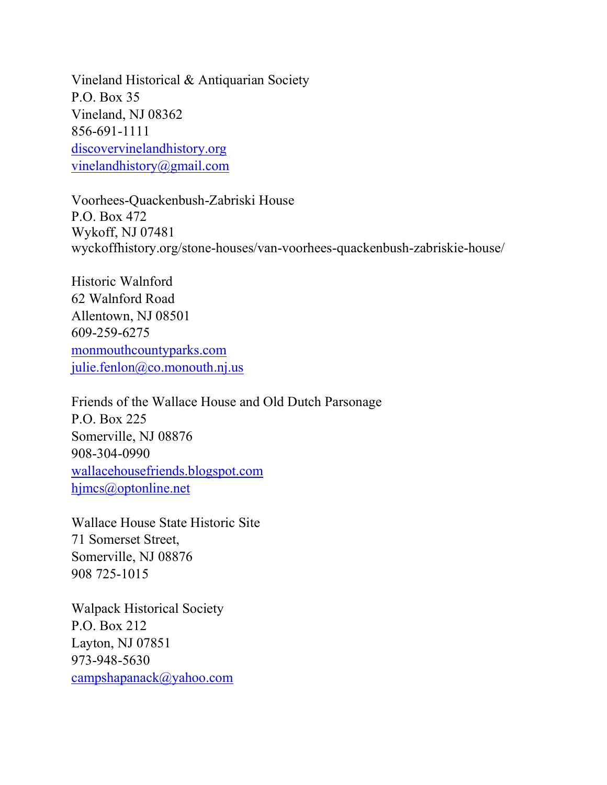Vineland Historical & Antiquarian Society P.O. Box 35 Vineland, NJ 08362 856-691-1111 discovervinelandhistory.org vinelandhistory@gmail.com

Voorhees-Quackenbush-Zabriski House P.O. Box 472 Wykoff, NJ 07481 wyckoffhistory.org/stone-houses/van-voorhees-quackenbush-zabriskie-house/

Historic Walnford 62 Walnford Road Allentown, NJ 08501 609-259-6275 monmouthcountyparks.com julie.fenlon@co.monouth.nj.us

Friends of the Wallace House and Old Dutch Parsonage P.O. Box 225 Somerville, NJ 08876 908-304-0990 wallacehousefriends.blogspot.com hjmcs@optonline.net

Wallace House State Historic Site 71 Somerset Street, Somerville, NJ 08876 908 725-1015

Walpack Historical Society P.O. Box 212 Layton, NJ 07851 973-948-5630 campshapanack@yahoo.com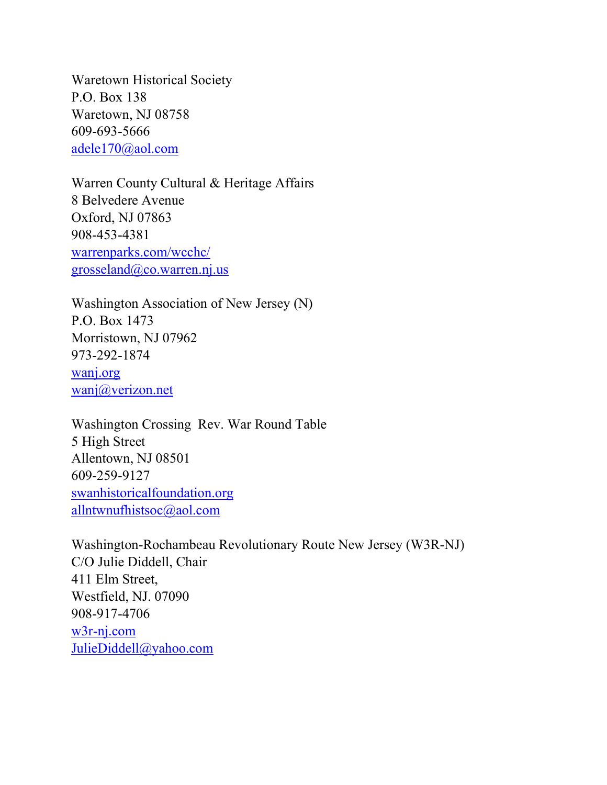Waretown Historical Society P.O. Box 138 Waretown, NJ 08758 609-693-5666 adele170@aol.com

Warren County Cultural & Heritage Affairs 8 Belvedere Avenue Oxford, NJ 07863 908-453-4381 warrenparks.com/wcchc/ grosseland@co.warren.nj.us

Washington Association of New Jersey (N) P.O. Box 1473 Morristown, NJ 07962 973-292-1874 wanj.org wanj@verizon.net

Washington Crossing Rev. War Round Table 5 High Street Allentown, NJ 08501 609-259-9127 swanhistoricalfoundation.org allntwnufhistsoc@aol.com

Washington-Rochambeau Revolutionary Route New Jersey (W3R-NJ) C/O Julie Diddell, Chair 411 Elm Street, Westfield, NJ. 07090 908-917-4706 w3r-nj.com JulieDiddell@yahoo.com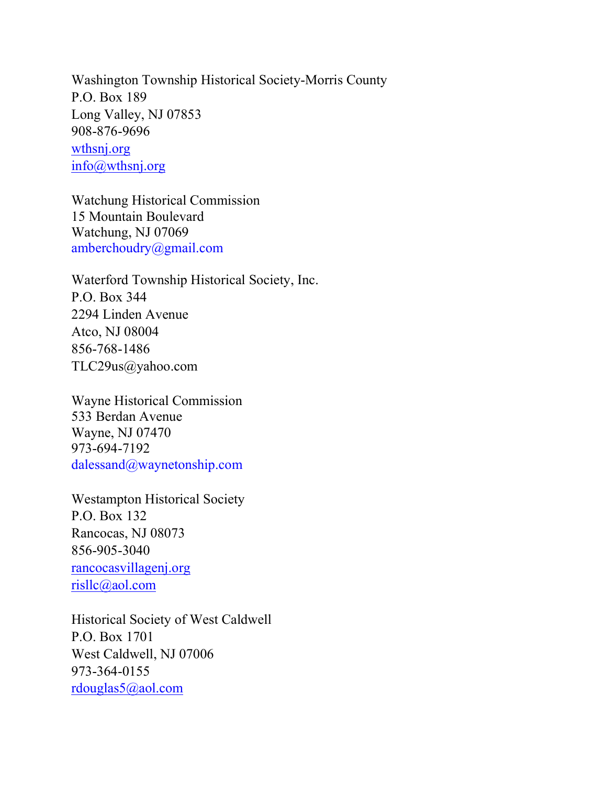Washington Township Historical Society-Morris County P.O. Box 189 Long Valley, NJ 07853 908-876-9696 wthsnj.org info@wthsnj.org

Watchung Historical Commission 15 Mountain Boulevard Watchung, NJ 07069 amberchoudry@gmail.com

Waterford Township Historical Society, Inc. P.O. Box 344 2294 Linden Avenue Atco, NJ 08004 856-768-1486 TLC29us@yahoo.com

Wayne Historical Commission 533 Berdan Avenue Wayne, NJ 07470 973-694-7192 dalessand@waynetonship.com

Westampton Historical Society P.O. Box 132 Rancocas, NJ 08073 856-905-3040 rancocasvillagenj.org risllc@aol.com

Historical Society of West Caldwell P.O. Box 1701 West Caldwell, NJ 07006 973-364-0155 rdouglas5@aol.com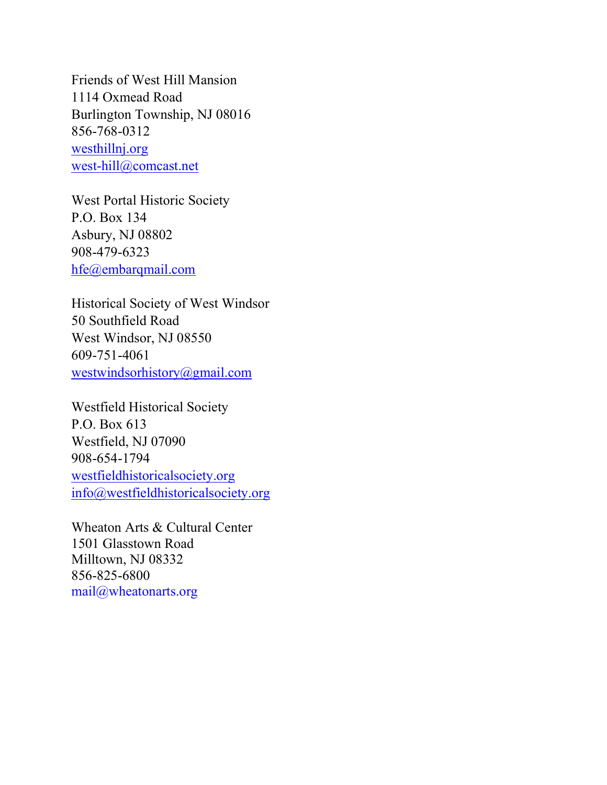Friends of West Hill Mansion 1114 Oxmead Road Burlington Township, NJ 08016 856-768-0312 westhillnj.org west-hill@comcast.net

West Portal Historic Society P.O. Box 134 Asbury, NJ 08802 908-479-6323 hfe@embarqmail.com

Historical Society of West Windsor 50 Southfield Road West Windsor, NJ 08550 609-751-4061 westwindsorhistory@gmail.com

Westfield Historical Society P.O. Box 613 Westfield, NJ 07090 908-654-1794 westfieldhistoricalsociety.org info@westfieldhistoricalsociety.org

Wheaton Arts & Cultural Center 1501 Glasstown Road Milltown, NJ 08332 856-825-6800 mail@wheatonarts.org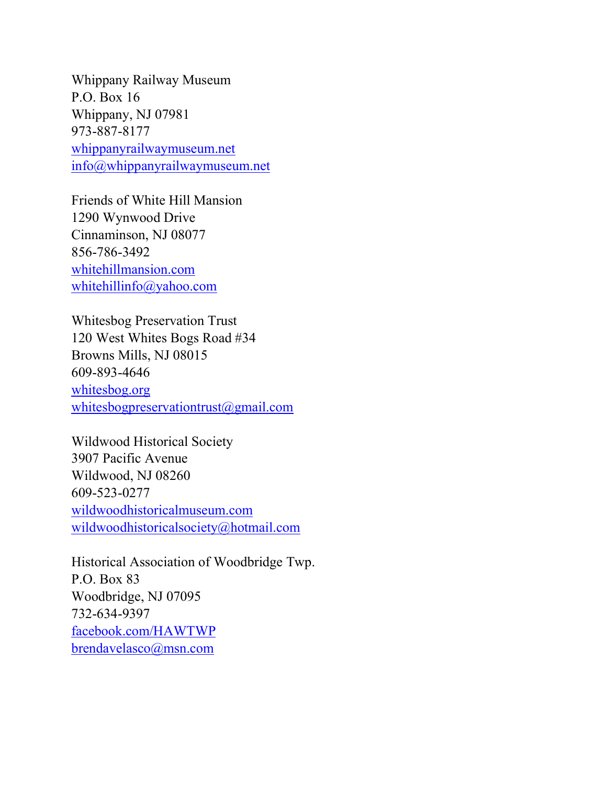Whippany Railway Museum P.O. Box 16 Whippany, NJ 07981 973-887-8177 whippanyrailwaymuseum.net info@whippanyrailwaymuseum.net

Friends of White Hill Mansion 1290 Wynwood Drive Cinnaminson, NJ 08077 856-786-3492 whitehillmansion.com whitehillinfo@yahoo.com

Whitesbog Preservation Trust 120 West Whites Bogs Road #34 Browns Mills, NJ 08015 609-893-4646 whitesbog.org whitesbogpreservationtrust@gmail.com

Wildwood Historical Society 3907 Pacific Avenue Wildwood, NJ 08260 609-523-0277 wildwoodhistoricalmuseum.com wildwoodhistoricalsociety@hotmail.com

Historical Association of Woodbridge Twp. P.O. Box 83 Woodbridge, NJ 07095 732-634-9397 facebook.com/HAWTWP brendavelasco@msn.com